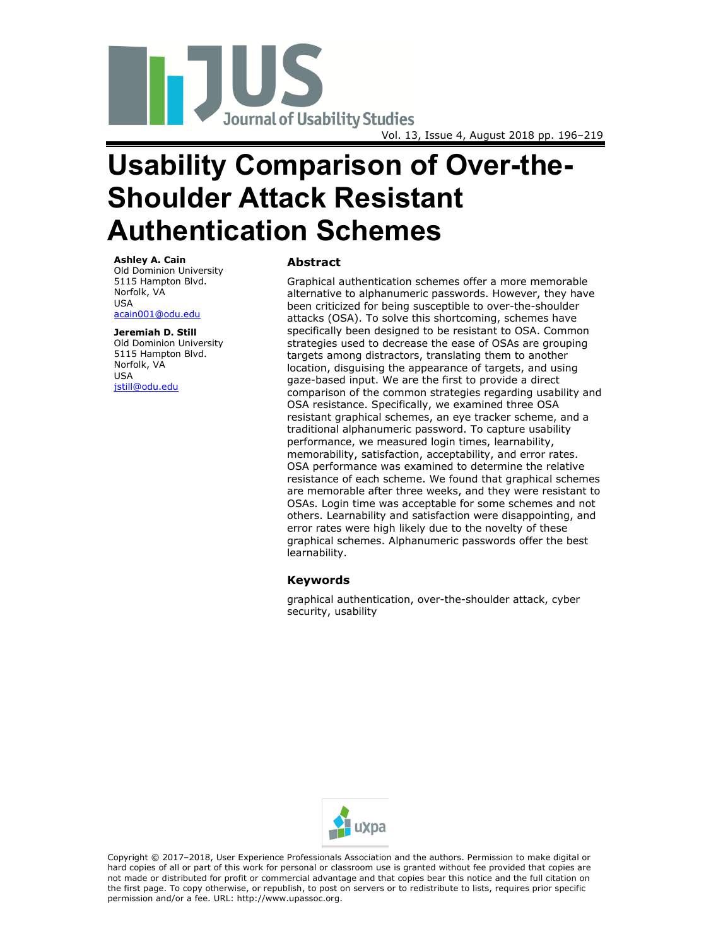

# **Usability Comparison of Over-the-Shoulder Attack Resistant Authentication Schemes**

#### **Ashley A. Cain**

Old Dominion University 5115 Hampton Blvd. Norfolk, VA USA [acain001@odu.edu](mailto:acain001@odu.edu)

**Jeremiah D. Still** Old Dominion University 5115 Hampton Blvd. Norfolk, VA USA [jstill@odu.edu](mailto:jstill@odu.edu)

# **Abstract**

Graphical authentication schemes offer a more memorable alternative to alphanumeric passwords. However, they have been criticized for being susceptible to over-the-shoulder attacks (OSA). To solve this shortcoming, schemes have specifically been designed to be resistant to OSA. Common strategies used to decrease the ease of OSAs are grouping targets among distractors, translating them to another location, disguising the appearance of targets, and using gaze-based input. We are the first to provide a direct comparison of the common strategies regarding usability and OSA resistance. Specifically, we examined three OSA resistant graphical schemes, an eye tracker scheme, and a traditional alphanumeric password. To capture usability performance, we measured login times, learnability, memorability, satisfaction, acceptability, and error rates. OSA performance was examined to determine the relative resistance of each scheme. We found that graphical schemes are memorable after three weeks, and they were resistant to OSAs. Login time was acceptable for some schemes and not others. Learnability and satisfaction were disappointing, and error rates were high likely due to the novelty of these graphical schemes. Alphanumeric passwords offer the best learnability.

#### **Keywords**

graphical authentication, over-the-shoulder attack, cyber security, usability



Copyright © 2017–2018, User Experience Professionals Association and the authors. Permission to make digital or hard copies of all or part of this work for personal or classroom use is granted without fee provided that copies are not made or distributed for profit or commercial advantage and that copies bear this notice and the full citation on the first page. To copy otherwise, or republish, to post on servers or to redistribute to lists, requires prior specific permission and/or a fee. URL: http://www.upassoc.org.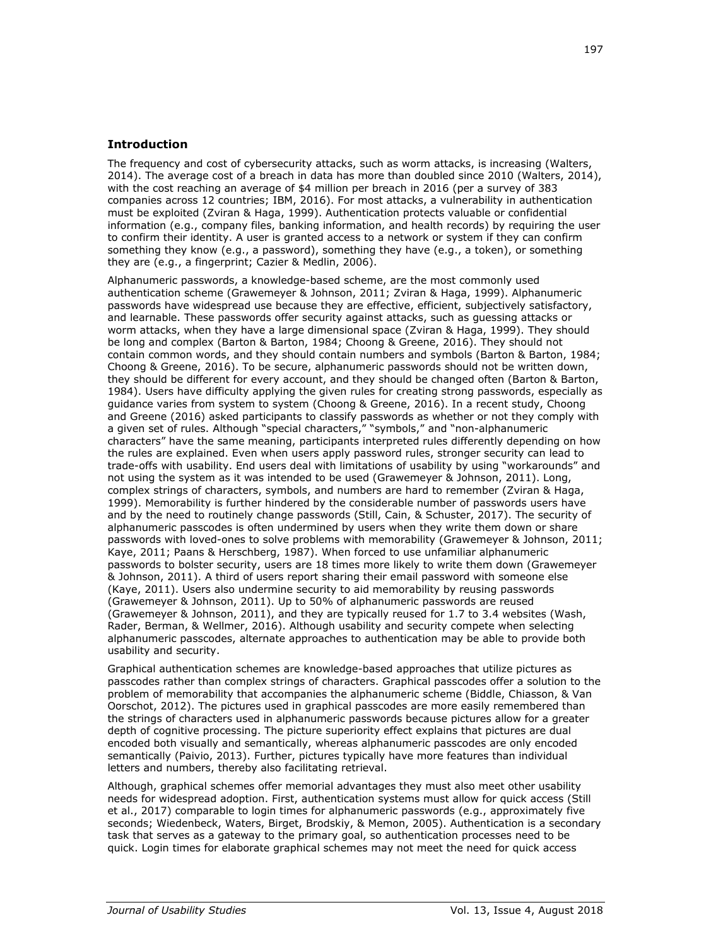# **Introduction**

The frequency and cost of cybersecurity attacks, such as worm attacks, is increasing (Walters, 2014). The average cost of a breach in data has more than doubled since 2010 (Walters, 2014), with the cost reaching an average of \$4 million per breach in 2016 (per a survey of 383 companies across 12 countries; IBM, 2016). For most attacks, a vulnerability in authentication must be exploited (Zviran & Haga, 1999). Authentication protects valuable or confidential information (e.g., company files, banking information, and health records) by requiring the user to confirm their identity. A user is granted access to a network or system if they can confirm something they know (e.g., a password), something they have (e.g., a token), or something they are (e.g., a fingerprint; Cazier & Medlin, 2006).

Alphanumeric passwords, a knowledge-based scheme, are the most commonly used authentication scheme (Grawemeyer & Johnson, 2011; Zviran & Haga, 1999). Alphanumeric passwords have widespread use because they are effective, efficient, subjectively satisfactory, and learnable. These passwords offer security against attacks, such as guessing attacks or worm attacks, when they have a large dimensional space (Zviran & Haga, 1999). They should be long and complex (Barton & Barton, 1984; Choong & Greene, 2016). They should not contain common words, and they should contain numbers and symbols (Barton & Barton, 1984; Choong & Greene, 2016). To be secure, alphanumeric passwords should not be written down, they should be different for every account, and they should be changed often (Barton & Barton, 1984). Users have difficulty applying the given rules for creating strong passwords, especially as guidance varies from system to system (Choong & Greene, 2016). In a recent study, Choong and Greene (2016) asked participants to classify passwords as whether or not they comply with a given set of rules. Although "special characters," "symbols," and "non-alphanumeric characters" have the same meaning, participants interpreted rules differently depending on how the rules are explained. Even when users apply password rules, stronger security can lead to trade-offs with usability. End users deal with limitations of usability by using "workarounds" and not using the system as it was intended to be used (Grawemeyer & Johnson, 2011). Long, complex strings of characters, symbols, and numbers are hard to remember (Zviran & Haga, 1999). Memorability is further hindered by the considerable number of passwords users have and by the need to routinely change passwords (Still, Cain, & Schuster, 2017). The security of alphanumeric passcodes is often undermined by users when they write them down or share passwords with loved-ones to solve problems with memorability (Grawemeyer & Johnson, 2011; Kaye, 2011; Paans & Herschberg, 1987). When forced to use unfamiliar alphanumeric passwords to bolster security, users are 18 times more likely to write them down (Grawemeyer & Johnson, 2011). A third of users report sharing their email password with someone else (Kaye, 2011). Users also undermine security to aid memorability by reusing passwords (Grawemeyer & Johnson, 2011). Up to 50% of alphanumeric passwords are reused (Grawemeyer & Johnson, 2011), and they are typically reused for 1.7 to 3.4 websites (Wash, Rader, Berman, & Wellmer, 2016). Although usability and security compete when selecting alphanumeric passcodes, alternate approaches to authentication may be able to provide both usability and security.

Graphical authentication schemes are knowledge-based approaches that utilize pictures as passcodes rather than complex strings of characters. Graphical passcodes offer a solution to the problem of memorability that accompanies the alphanumeric scheme (Biddle, Chiasson, & Van Oorschot, 2012). The pictures used in graphical passcodes are more easily remembered than the strings of characters used in alphanumeric passwords because pictures allow for a greater depth of cognitive processing. The picture superiority effect explains that pictures are dual encoded both visually and semantically, whereas alphanumeric passcodes are only encoded semantically (Paivio, 2013). Further, pictures typically have more features than individual letters and numbers, thereby also facilitating retrieval.

Although, graphical schemes offer memorial advantages they must also meet other usability needs for widespread adoption. First, authentication systems must allow for quick access (Still et al., 2017) comparable to login times for alphanumeric passwords (e.g., approximately five seconds; Wiedenbeck, Waters, Birget, Brodskiy, & Memon, 2005). Authentication is a secondary task that serves as a gateway to the primary goal, so authentication processes need to be quick. Login times for elaborate graphical schemes may not meet the need for quick access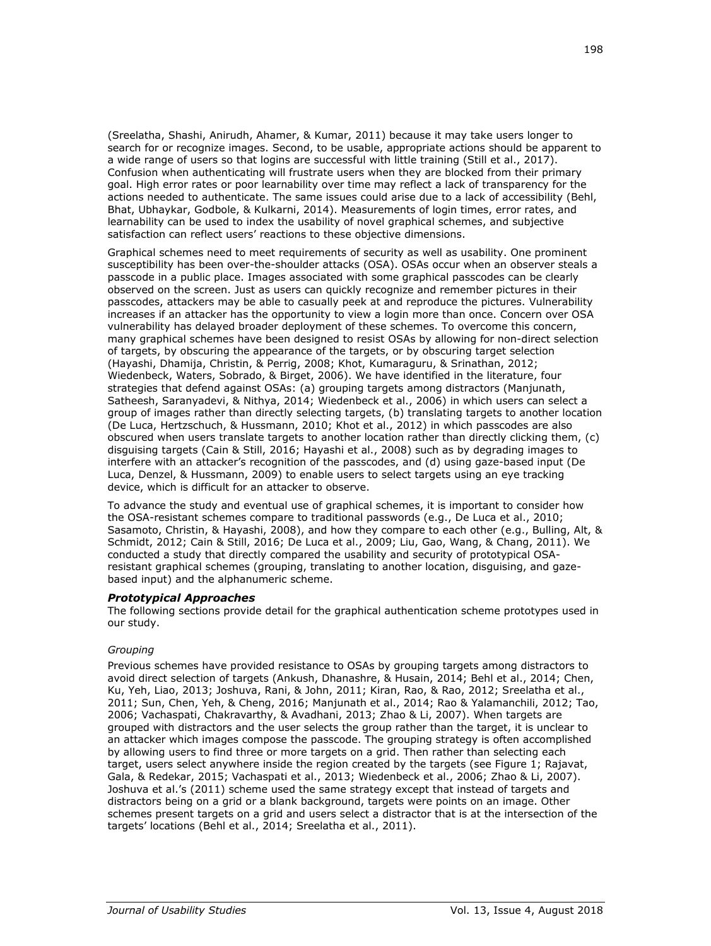(Sreelatha, Shashi, Anirudh, Ahamer, & Kumar, 2011) because it may take users longer to search for or recognize images. Second, to be usable, appropriate actions should be apparent to a wide range of users so that logins are successful with little training (Still et al., 2017). Confusion when authenticating will frustrate users when they are blocked from their primary goal. High error rates or poor learnability over time may reflect a lack of transparency for the actions needed to authenticate. The same issues could arise due to a lack of accessibility (Behl, Bhat, Ubhaykar, Godbole, & Kulkarni, 2014). Measurements of login times, error rates, and learnability can be used to index the usability of novel graphical schemes, and subjective satisfaction can reflect users' reactions to these objective dimensions.

Graphical schemes need to meet requirements of security as well as usability. One prominent susceptibility has been over-the-shoulder attacks (OSA). OSAs occur when an observer steals a passcode in a public place. Images associated with some graphical passcodes can be clearly observed on the screen. Just as users can quickly recognize and remember pictures in their passcodes, attackers may be able to casually peek at and reproduce the pictures. Vulnerability increases if an attacker has the opportunity to view a login more than once. Concern over OSA vulnerability has delayed broader deployment of these schemes. To overcome this concern, many graphical schemes have been designed to resist OSAs by allowing for non-direct selection of targets, by obscuring the appearance of the targets, or by obscuring target selection (Hayashi, Dhamija, Christin, & Perrig, 2008; Khot, Kumaraguru, & Srinathan, 2012; Wiedenbeck, Waters, Sobrado, & Birget, 2006). We have identified in the literature, four strategies that defend against OSAs: (a) grouping targets among distractors (Manjunath, Satheesh, Saranyadevi, & Nithya, 2014; Wiedenbeck et al., 2006) in which users can select a group of images rather than directly selecting targets, (b) translating targets to another location (De Luca, Hertzschuch, & Hussmann, 2010; Khot et al., 2012) in which passcodes are also obscured when users translate targets to another location rather than directly clicking them, (c) disguising targets (Cain & Still, 2016; Hayashi et al., 2008) such as by degrading images to interfere with an attacker's recognition of the passcodes, and (d) using gaze-based input (De Luca, Denzel, & Hussmann, 2009) to enable users to select targets using an eye tracking device, which is difficult for an attacker to observe.

To advance the study and eventual use of graphical schemes, it is important to consider how the OSA-resistant schemes compare to traditional passwords (e.g., De Luca et al., 2010; Sasamoto, Christin, & Hayashi, 2008), and how they compare to each other (e.g., Bulling, Alt, & Schmidt, 2012; Cain & Still, 2016; De Luca et al., 2009; Liu, Gao, Wang, & Chang, 2011). We conducted a study that directly compared the usability and security of prototypical OSAresistant graphical schemes (grouping, translating to another location, disguising, and gazebased input) and the alphanumeric scheme.

# *Prototypical Approaches*

The following sections provide detail for the graphical authentication scheme prototypes used in our study.

#### *Grouping*

Previous schemes have provided resistance to OSAs by grouping targets among distractors to avoid direct selection of targets (Ankush, Dhanashre, & Husain, 2014; Behl et al., 2014; Chen, Ku, Yeh, Liao, 2013; Joshuva, Rani, & John, 2011; Kiran, Rao, & Rao, 2012; Sreelatha et al., 2011; Sun, Chen, Yeh, & Cheng, 2016; Manjunath et al., 2014; Rao & Yalamanchili, 2012; Tao, 2006; Vachaspati, Chakravarthy, & Avadhani, 2013; Zhao & Li, 2007). When targets are grouped with distractors and the user selects the group rather than the target, it is unclear to an attacker which images compose the passcode. The grouping strategy is often accomplished by allowing users to find three or more targets on a grid. Then rather than selecting each target, users select anywhere inside the region created by the targets (see Figure 1; Rajavat, Gala, & Redekar, 2015; Vachaspati et al., 2013; Wiedenbeck et al., 2006; Zhao & Li, 2007). Joshuva et al.'s (2011) scheme used the same strategy except that instead of targets and distractors being on a grid or a blank background, targets were points on an image. Other schemes present targets on a grid and users select a distractor that is at the intersection of the targets' locations (Behl et al., 2014; Sreelatha et al., 2011).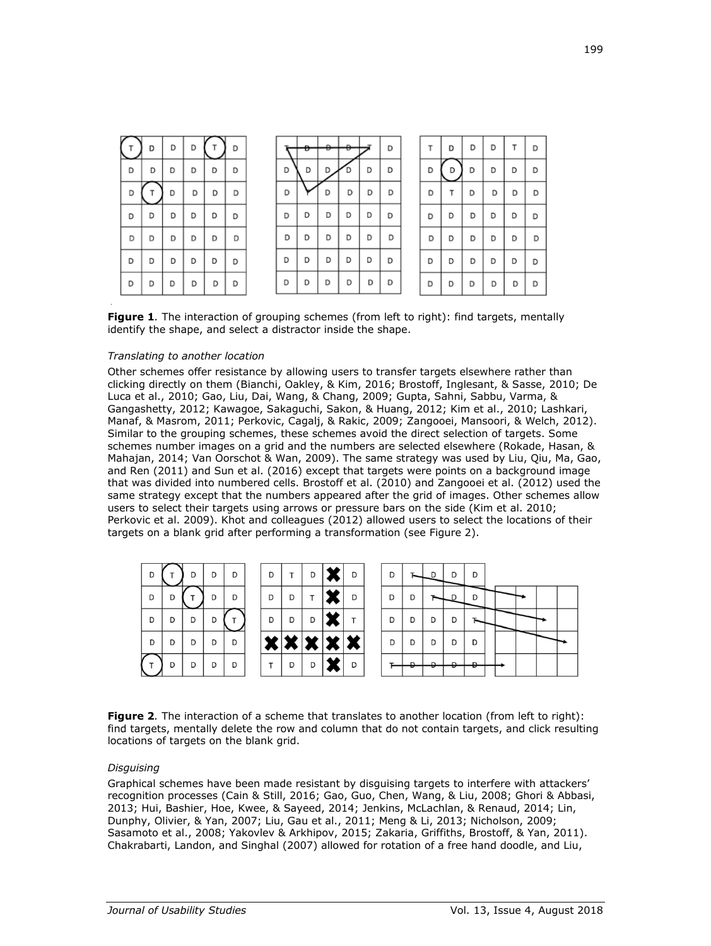|   | D | D | D |   | D |   | Ð | $\rightarrow$ | Ð |   | D |   | D | D | D | т | D |
|---|---|---|---|---|---|---|---|---------------|---|---|---|---|---|---|---|---|---|
| D | D | D | D | D | D | D | D |               |   | D | D | D | D | D | D | D | D |
| D |   | D | D | D | D | D |   | D             | D | D | D | D |   | D | D | D | D |
| D | D | D | D | D | D | D | D | D             | D | D | D | D | D | D | D | D | D |
| D | D | D | D | D | D | D | D | D             | D | D | D | D | D | D | D | D | D |
| D | D | D | D | D | D | D | D | D             | D | D | D | D | D | D | D | D | D |
| D | D | D | D | D | D | D | D | D             | D | D | D | D | D | D | D | D | D |

**Figure 1***.* The interaction of grouping schemes (from left to right): find targets, mentally identify the shape, and select a distractor inside the shape.

#### *Translating to another location*

Other schemes offer resistance by allowing users to transfer targets elsewhere rather than clicking directly on them (Bianchi, Oakley, & Kim, 2016; Brostoff, Inglesant, & Sasse, 2010; De Luca et al., 2010; Gao, Liu, Dai, Wang, & Chang, 2009; Gupta, Sahni, Sabbu, Varma, & Gangashetty, 2012; Kawagoe, Sakaguchi, Sakon, & Huang, 2012; Kim et al., 2010; Lashkari, Manaf, & Masrom, 2011; Perkovic, Cagalj, & Rakic, 2009; Zangooei, Mansoori, & Welch, 2012). Similar to the grouping schemes, these schemes avoid the direct selection of targets. Some schemes number images on a grid and the numbers are selected elsewhere (Rokade, Hasan, & Mahajan, 2014; Van Oorschot & Wan, 2009). The same strategy was used by Liu, Qiu, Ma, Gao, and Ren (2011) and Sun et al. (2016) except that targets were points on a background image that was divided into numbered cells. Brostoff et al. (2010) and Zangooei et al. (2012) used the same strategy except that the numbers appeared after the grid of images. Other schemes allow users to select their targets using arrows or pressure bars on the side (Kim et al. 2010; Perkovic et al. 2009). Khot and colleagues (2012) allowed users to select the locations of their targets on a blank grid after performing a transformation (see Figure 2).

| D |   | D | D | D | D | T | D | D | D |   | n | D | D |  |  |  |
|---|---|---|---|---|---|---|---|---|---|---|---|---|---|--|--|--|
| D |   |   | D | D | D | D |   | D | D | D |   |   | D |  |  |  |
| D | D | D | D |   | D | D | D |   | D | D | D | D |   |  |  |  |
| D | D | D | D | D |   |   |   | w | D | D | D | D | D |  |  |  |
|   | D | D | D | D |   | D | D | D |   |   | n |   | ב |  |  |  |

**Figure 2***.* The interaction of a scheme that translates to another location (from left to right): find targets, mentally delete the row and column that do not contain targets, and click resulting locations of targets on the blank grid.

# *Disguising*

Graphical schemes have been made resistant by disguising targets to interfere with attackers' recognition processes (Cain & Still, 2016; Gao, Guo, Chen, Wang, & Liu, 2008; Ghori & Abbasi, 2013; Hui, Bashier, Hoe, Kwee, & Sayeed, 2014; Jenkins, McLachlan, & Renaud, 2014; Lin, Dunphy, Olivier, & Yan, 2007; Liu, Gau et al., 2011; Meng & Li, 2013; Nicholson, 2009; Sasamoto et al., 2008; Yakovlev & Arkhipov, 2015; Zakaria, Griffiths, Brostoff, & Yan, 2011). Chakrabarti, Landon, and Singhal (2007) allowed for rotation of a free hand doodle, and Liu,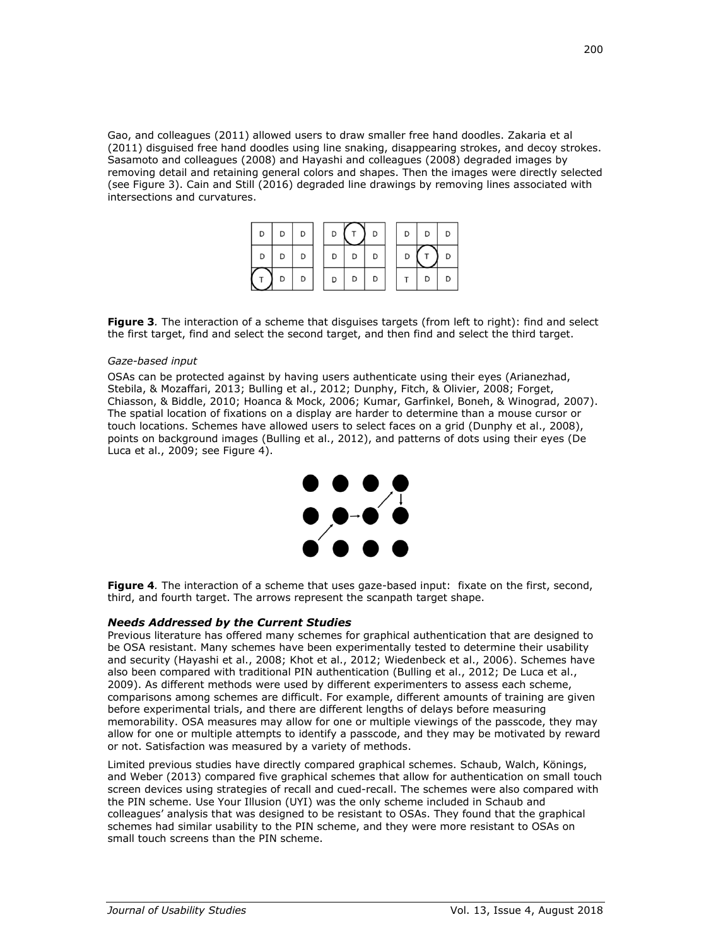Gao, and colleagues (2011) allowed users to draw smaller free hand doodles. Zakaria et al (2011) disguised free hand doodles using line snaking, disappearing strokes, and decoy strokes. Sasamoto and colleagues (2008) and Hayashi and colleagues (2008) degraded images by removing detail and retaining general colors and shapes. Then the images were directly selected (see Figure 3). Cain and Still (2016) degraded line drawings by removing lines associated with intersections and curvatures.

| D | D | D | D |   | D | D | D |  |
|---|---|---|---|---|---|---|---|--|
| D | D | D | D | D |   | D |   |  |
|   | D | D | D | D |   |   | D |  |

**Figure 3***.* The interaction of a scheme that disguises targets (from left to right): find and select the first target, find and select the second target, and then find and select the third target.

#### *Gaze-based input*

OSAs can be protected against by having users authenticate using their eyes (Arianezhad, Stebila, & Mozaffari, 2013; Bulling et al., 2012; Dunphy, Fitch, & Olivier, 2008; Forget, Chiasson, & Biddle, 2010; Hoanca & Mock, 2006; Kumar, Garfinkel, Boneh, & Winograd, 2007). The spatial location of fixations on a display are harder to determine than a mouse cursor or touch locations. Schemes have allowed users to select faces on a grid (Dunphy et al., 2008), points on background images (Bulling et al., 2012), and patterns of dots using their eyes (De Luca et al., 2009; see Figure 4).



**Figure 4***.* The interaction of a scheme that uses gaze-based input: fixate on the first, second, third, and fourth target. The arrows represent the scanpath target shape.

# *Needs Addressed by the Current Studies*

Previous literature has offered many schemes for graphical authentication that are designed to be OSA resistant. Many schemes have been experimentally tested to determine their usability and security (Hayashi et al., 2008; Khot et al., 2012; Wiedenbeck et al., 2006). Schemes have also been compared with traditional PIN authentication (Bulling et al., 2012; De Luca et al., 2009). As different methods were used by different experimenters to assess each scheme, comparisons among schemes are difficult. For example, different amounts of training are given before experimental trials, and there are different lengths of delays before measuring memorability. OSA measures may allow for one or multiple viewings of the passcode, they may allow for one or multiple attempts to identify a passcode, and they may be motivated by reward or not. Satisfaction was measured by a variety of methods.

Limited previous studies have directly compared graphical schemes. Schaub, Walch, Könings, and Weber (2013) compared five graphical schemes that allow for authentication on small touch screen devices using strategies of recall and cued-recall. The schemes were also compared with the PIN scheme. Use Your Illusion (UYI) was the only scheme included in Schaub and colleagues' analysis that was designed to be resistant to OSAs. They found that the graphical schemes had similar usability to the PIN scheme, and they were more resistant to OSAs on small touch screens than the PIN scheme.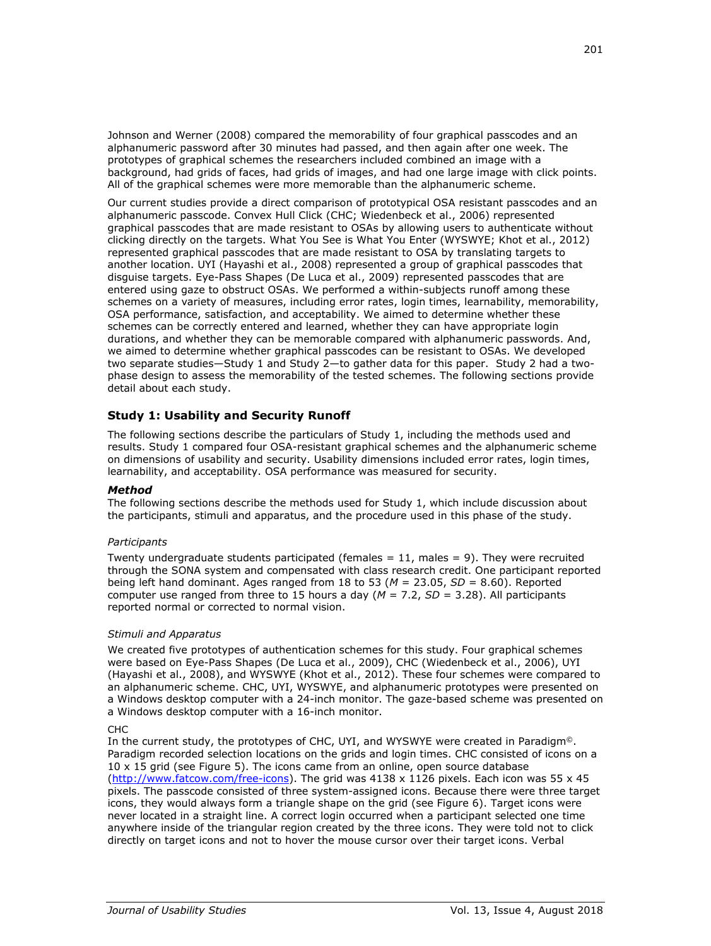Johnson and Werner (2008) compared the memorability of four graphical passcodes and an alphanumeric password after 30 minutes had passed, and then again after one week. The prototypes of graphical schemes the researchers included combined an image with a background, had grids of faces, had grids of images, and had one large image with click points. All of the graphical schemes were more memorable than the alphanumeric scheme.

Our current studies provide a direct comparison of prototypical OSA resistant passcodes and an alphanumeric passcode. Convex Hull Click (CHC; Wiedenbeck et al., 2006) represented graphical passcodes that are made resistant to OSAs by allowing users to authenticate without clicking directly on the targets. What You See is What You Enter (WYSWYE; Khot et al., 2012) represented graphical passcodes that are made resistant to OSA by translating targets to another location. UYI (Hayashi et al., 2008) represented a group of graphical passcodes that disguise targets. Eye-Pass Shapes (De Luca et al., 2009) represented passcodes that are entered using gaze to obstruct OSAs. We performed a within-subjects runoff among these schemes on a variety of measures, including error rates, login times, learnability, memorability, OSA performance, satisfaction, and acceptability. We aimed to determine whether these schemes can be correctly entered and learned, whether they can have appropriate login durations, and whether they can be memorable compared with alphanumeric passwords. And, we aimed to determine whether graphical passcodes can be resistant to OSAs. We developed two separate studies—Study 1 and Study 2—to gather data for this paper. Study 2 had a twophase design to assess the memorability of the tested schemes. The following sections provide detail about each study.

# **Study 1: Usability and Security Runoff**

The following sections describe the particulars of Study 1, including the methods used and results. Study 1 compared four OSA-resistant graphical schemes and the alphanumeric scheme on dimensions of usability and security. Usability dimensions included error rates, login times, learnability, and acceptability. OSA performance was measured for security.

# *Method*

The following sections describe the methods used for Study 1, which include discussion about the participants, stimuli and apparatus, and the procedure used in this phase of the study.

# *Participants*

Twenty undergraduate students participated (females  $= 11$ , males  $= 9$ ). They were recruited through the SONA system and compensated with class research credit. One participant reported being left hand dominant. Ages ranged from 18 to 53 (*M* = 23.05, *SD* = 8.60). Reported computer use ranged from three to 15 hours a day  $(M = 7.2, SD = 3.28)$ . All participants reported normal or corrected to normal vision.

# *Stimuli and Apparatus*

We created five prototypes of authentication schemes for this study. Four graphical schemes were based on Eye-Pass Shapes (De Luca et al., 2009), CHC (Wiedenbeck et al., 2006), UYI (Hayashi et al., 2008), and WYSWYE (Khot et al., 2012). These four schemes were compared to an alphanumeric scheme. CHC, UYI, WYSWYE, and alphanumeric prototypes were presented on a Windows desktop computer with a 24-inch monitor. The gaze-based scheme was presented on a Windows desktop computer with a 16-inch monitor.

# CHC

In the current study, the prototypes of CHC, UYI, and WYSWYE were created in Paradigm©. Paradigm recorded selection locations on the grids and login times. CHC consisted of icons on a 10 x 15 grid (see Figure 5). The icons came from an online, open source database [\(http://www.fatcow.com/free-icons\)](http://www.fatcow.com/free-icons). The grid was 4138 x 1126 pixels. Each icon was 55 x 45 pixels. The passcode consisted of three system-assigned icons. Because there were three target icons, they would always form a triangle shape on the grid (see Figure 6). Target icons were never located in a straight line. A correct login occurred when a participant selected one time anywhere inside of the triangular region created by the three icons. They were told not to click directly on target icons and not to hover the mouse cursor over their target icons. Verbal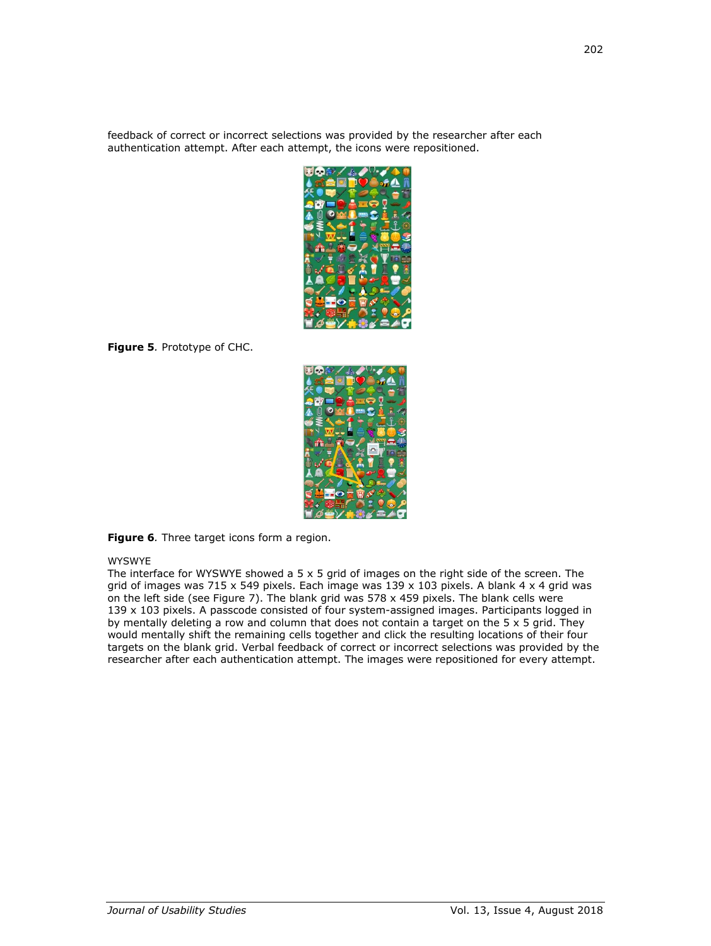feedback of correct or incorrect selections was provided by the researcher after each authentication attempt. After each attempt, the icons were repositioned.



**Figure 5***.* Prototype of CHC.



**Figure 6***.* Three target icons form a region.

# WYSWYE

The interface for WYSWYE showed a  $5 \times 5$  grid of images on the right side of the screen. The grid of images was 715 x 549 pixels. Each image was  $139 \times 103$  pixels. A blank 4 x 4 grid was on the left side (see Figure 7). The blank grid was 578 x 459 pixels. The blank cells were 139 x 103 pixels. A passcode consisted of four system-assigned images. Participants logged in by mentally deleting a row and column that does not contain a target on the  $5 \times 5$  grid. They would mentally shift the remaining cells together and click the resulting locations of their four targets on the blank grid. Verbal feedback of correct or incorrect selections was provided by the researcher after each authentication attempt. The images were repositioned for every attempt.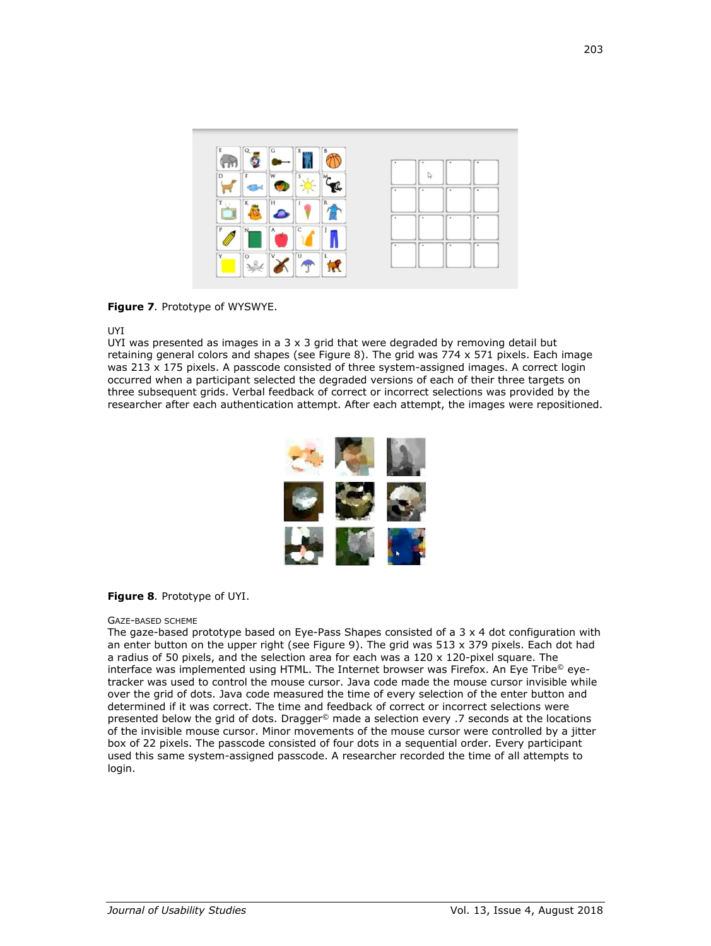

**Figure 7***.* Prototype of WYSWYE.

#### UYI

UYI was presented as images in a  $3 \times 3$  grid that were degraded by removing detail but retaining general colors and shapes (see Figure 8). The grid was 774 x 571 pixels. Each image was 213 x 175 pixels. A passcode consisted of three system-assigned images. A correct login occurred when a participant selected the degraded versions of each of their three targets on three subsequent grids. Verbal feedback of correct or incorrect selections was provided by the researcher after each authentication attempt. After each attempt, the images were repositioned.



# **Figure 8***.* Prototype of UYI.

#### GAZE-BASED SCHEME

The gaze-based prototype based on Eye-Pass Shapes consisted of a  $3 \times 4$  dot configuration with an enter button on the upper right (see Figure 9). The grid was 513 x 379 pixels. Each dot had a radius of 50 pixels, and the selection area for each was a 120 x 120-pixel square. The interface was implemented using HTML. The Internet browser was Firefox. An Eye Tribe© eyetracker was used to control the mouse cursor. Java code made the mouse cursor invisible while over the grid of dots. Java code measured the time of every selection of the enter button and determined if it was correct. The time and feedback of correct or incorrect selections were presented below the grid of dots. Dragger© made a selection every .7 seconds at the locations of the invisible mouse cursor. Minor movements of the mouse cursor were controlled by a jitter box of 22 pixels. The passcode consisted of four dots in a sequential order. Every participant used this same system-assigned passcode. A researcher recorded the time of all attempts to login.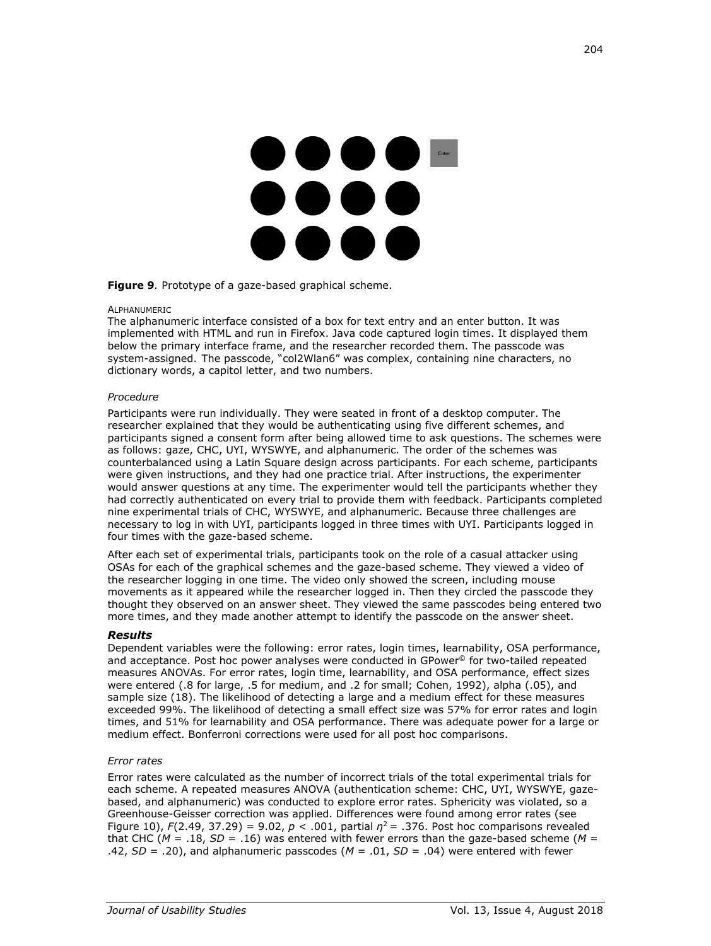# 

#### **Figure 9***.* Prototype of a gaze-based graphical scheme.

#### ALPHANUMERIC

The alphanumeric interface consisted of a box for text entry and an enter button. It was implemented with HTML and run in Firefox. Java code captured login times. It displayed them below the primary interface frame, and the researcher recorded them. The passcode was system-assigned. The passcode, "col2Wlan6" was complex, containing nine characters, no dictionary words, a capitol letter, and two numbers.

#### *Procedure*

Participants were run individually. They were seated in front of a desktop computer. The researcher explained that they would be authenticating using five different schemes, and participants signed a consent form after being allowed time to ask questions. The schemes were as follows: gaze, CHC, UYI, WYSWYE, and alphanumeric. The order of the schemes was counterbalanced using a Latin Square design across participants. For each scheme, participants were given instructions, and they had one practice trial. After instructions, the experimenter would answer questions at any time. The experimenter would tell the participants whether they had correctly authenticated on every trial to provide them with feedback. Participants completed nine experimental trials of CHC, WYSWYE, and alphanumeric. Because three challenges are necessary to log in with UYI, participants logged in three times with UYI. Participants logged in four times with the gaze-based scheme.

After each set of experimental trials, participants took on the role of a casual attacker using OSAs for each of the graphical schemes and the gaze-based scheme. They viewed a video of the researcher logging in one time. The video only showed the screen, including mouse movements as it appeared while the researcher logged in. Then they circled the passcode they thought they observed on an answer sheet. They viewed the same passcodes being entered two more times, and they made another attempt to identify the passcode on the answer sheet.

# *Results*

Dependent variables were the following: error rates, login times, learnability, OSA performance, and acceptance. Post hoc power analyses were conducted in GPower© for two-tailed repeated measures ANOVAs. For error rates, login time, learnability, and OSA performance, effect sizes were entered (.8 for large, .5 for medium, and .2 for small; Cohen, 1992), alpha (.05), and sample size (18). The likelihood of detecting a large and a medium effect for these measures exceeded 99%. The likelihood of detecting a small effect size was 57% for error rates and login times, and 51% for learnability and OSA performance. There was adequate power for a large or medium effect. Bonferroni corrections were used for all post hoc comparisons.

# *Error rates*

Error rates were calculated as the number of incorrect trials of the total experimental trials for each scheme. A repeated measures ANOVA (authentication scheme: CHC, UYI, WYSWYE, gazebased, and alphanumeric) was conducted to explore error rates. Sphericity was violated, so a Greenhouse-Geisser correction was applied. Differences were found among error rates (see Figure 10),  $F(2.49, 37.29) = 9.02$ ,  $p < .001$ , partial  $\eta^2 = .376$ . Post hoc comparisons revealed that CHC ( $M = .18$ ,  $SD = .16$ ) was entered with fewer errors than the gaze-based scheme ( $M =$ .42,  $SD = .20$ ), and alphanumeric passcodes ( $M = .01$ ,  $SD = .04$ ) were entered with fewer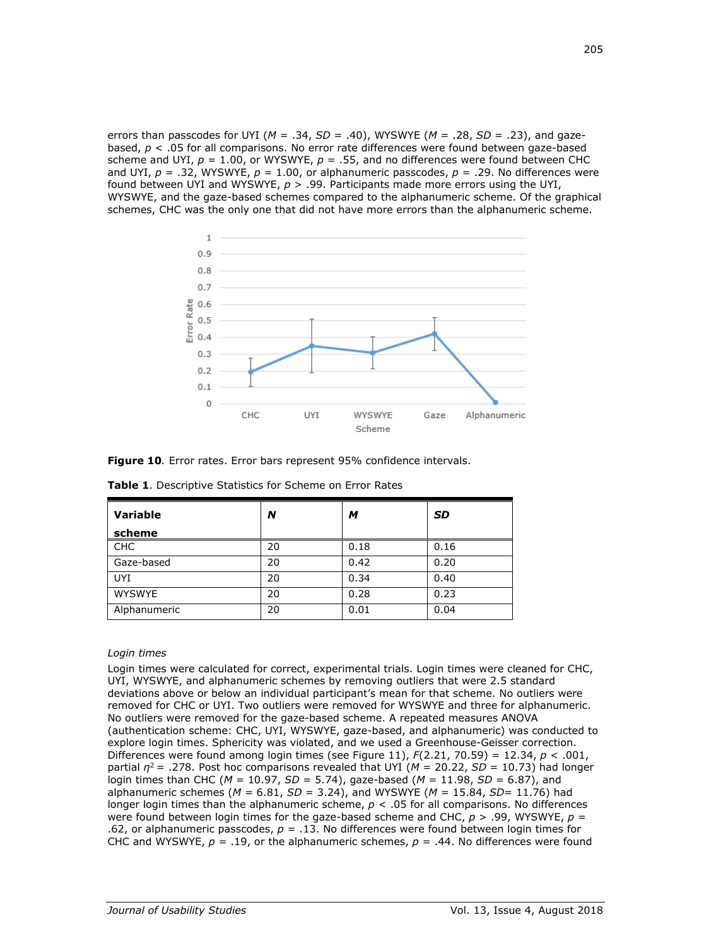errors than passcodes for UYI (*M* = .34, *SD* = .40), WYSWYE (*M* = .28, *SD* = .23), and gazebased, *p* < .05 for all comparisons. No error rate differences were found between gaze-based scheme and UYI,  $p = 1.00$ , or WYSWYE,  $p = .55$ , and no differences were found between CHC and UYI,  $p = .32$ , WYSWYE,  $p = 1.00$ , or alphanumeric passcodes,  $p = .29$ . No differences were found between UYI and WYSWYE, *p* > .99. Participants made more errors using the UYI, WYSWYE, and the gaze-based schemes compared to the alphanumeric scheme. Of the graphical schemes, CHC was the only one that did not have more errors than the alphanumeric scheme.



**Figure 10***.* Error rates. Error bars represent 95% confidence intervals.

| <b>Variable</b><br>scheme | N  | м    | <b>SD</b> |
|---------------------------|----|------|-----------|
| <b>CHC</b>                | 20 | 0.18 | 0.16      |
| Gaze-based                | 20 | 0.42 | 0.20      |
| <b>UYI</b>                | 20 | 0.34 | 0.40      |
| <b>WYSWYE</b>             | 20 | 0.28 | 0.23      |
| Alphanumeric              | 20 | 0.01 | 0.04      |

**Table 1**. Descriptive Statistics for Scheme on Error Rates

# *Login times*

Login times were calculated for correct, experimental trials. Login times were cleaned for CHC, UYI, WYSWYE, and alphanumeric schemes by removing outliers that were 2.5 standard deviations above or below an individual participant's mean for that scheme. No outliers were removed for CHC or UYI. Two outliers were removed for WYSWYE and three for alphanumeric. No outliers were removed for the gaze-based scheme. A repeated measures ANOVA (authentication scheme: CHC, UYI, WYSWYE, gaze-based, and alphanumeric) was conducted to explore login times. Sphericity was violated, and we used a Greenhouse-Geisser correction. Differences were found among login times (see Figure 11), *F*(2.21, 70.59) = 12.34, *p* < .001, partial  $\eta^2$  = .278. Post hoc comparisons revealed that UYI ( $M = 20.22$ ,  $SD = 10.73$ ) had longer login times than CHC (*M* = 10.97, *SD* = 5.74), gaze-based (*M* = 11.98, *SD* = 6.87), and alphanumeric schemes (*M* = 6.81, *SD* = 3.24), and WYSWYE (*M* = 15.84, *SD*= 11.76) had longer login times than the alphanumeric scheme, *p* < .05 for all comparisons. No differences were found between login times for the gaze-based scheme and CHC, *p* > .99, WYSWYE, *p* = .62, or alphanumeric passcodes, *p* = .13. No differences were found between login times for CHC and WYSWYE,  $p = .19$ , or the alphanumeric schemes,  $p = .44$ . No differences were found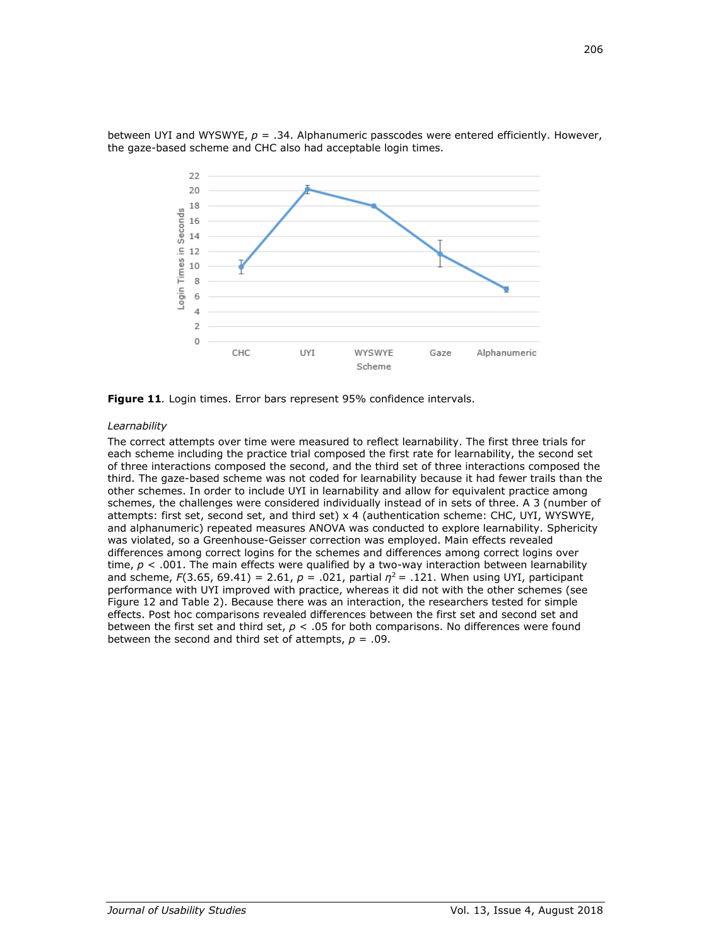

between UYI and WYSWYE, *p* = .34. Alphanumeric passcodes were entered efficiently. However, the gaze-based scheme and CHC also had acceptable login times.

**Figure 11***.* Login times. Error bars represent 95% confidence intervals.

#### *Learnability*

The correct attempts over time were measured to reflect learnability. The first three trials for each scheme including the practice trial composed the first rate for learnability, the second set of three interactions composed the second, and the third set of three interactions composed the third. The gaze-based scheme was not coded for learnability because it had fewer trails than the other schemes. In order to include UYI in learnability and allow for equivalent practice among schemes, the challenges were considered individually instead of in sets of three. A 3 (number of attempts: first set, second set, and third set) x 4 (authentication scheme: CHC, UYI, WYSWYE, and alphanumeric) repeated measures ANOVA was conducted to explore learnability. Sphericity was violated, so a Greenhouse-Geisser correction was employed. Main effects revealed differences among correct logins for the schemes and differences among correct logins over time,  $p < .001$ . The main effects were qualified by a two-way interaction between learnability and scheme,  $F(3.65, 69.41) = 2.61$ ,  $p = .021$ , partial  $q^2 = .121$ . When using UYI, participant performance with UYI improved with practice, whereas it did not with the other schemes (see Figure 12 and Table 2). Because there was an interaction, the researchers tested for simple effects. Post hoc comparisons revealed differences between the first set and second set and between the first set and third set, *p* < .05 for both comparisons. No differences were found between the second and third set of attempts,  $p = .09$ .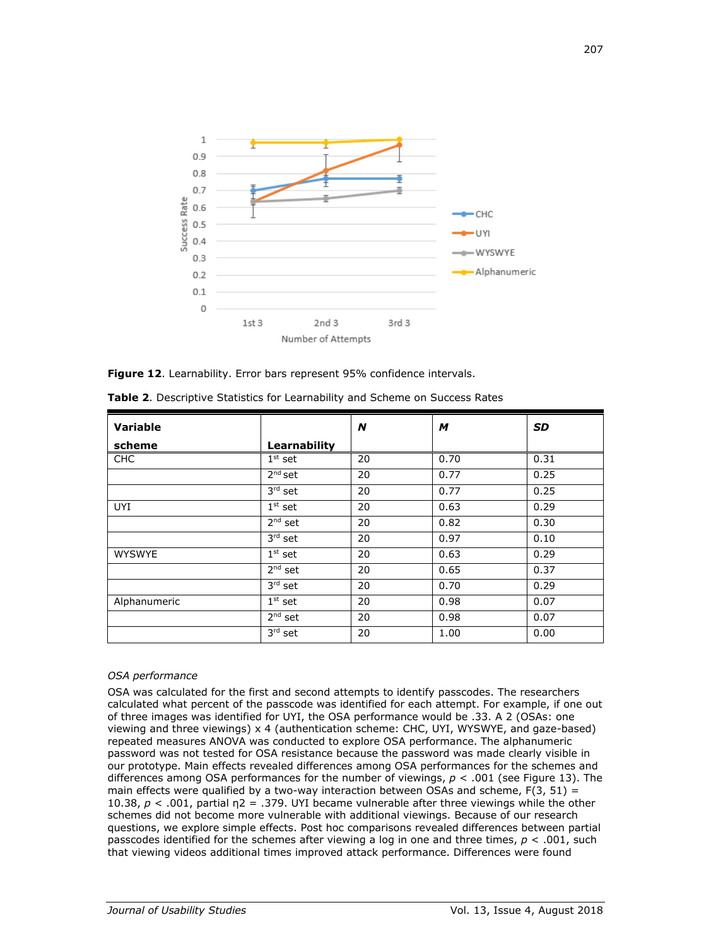

**Figure 12**. Learnability. Error bars represent 95% confidence intervals.

| Variable      |                                  | N  | M    | <b>SD</b> |
|---------------|----------------------------------|----|------|-----------|
| scheme        | Learnability                     |    |      |           |
| <b>CHC</b>    | $1st$ set                        | 20 | 0.70 | 0.31      |
|               | $2nd$ set                        | 20 | 0.77 | 0.25      |
|               | $3rd$ set                        | 20 | 0.77 | 0.25      |
| <b>UYI</b>    | $\overline{1}$ <sup>st</sup> set | 20 | 0.63 | 0.29      |
|               | $2nd$ set                        | 20 | 0.82 | 0.30      |
|               | $3rd$ set                        | 20 | 0.97 | 0.10      |
| <b>WYSWYE</b> | $1st$ set                        | 20 | 0.63 | 0.29      |
|               | $2nd$ set                        | 20 | 0.65 | 0.37      |
|               | $3rd$ set                        | 20 | 0.70 | 0.29      |
| Alphanumeric  | $1st$ set                        | 20 | 0.98 | 0.07      |
|               | $2nd$ set                        | 20 | 0.98 | 0.07      |
|               | $3rd$ set                        | 20 | 1.00 | 0.00      |

**Table 2**. Descriptive Statistics for Learnability and Scheme on Success Rates

# *OSA performance*

OSA was calculated for the first and second attempts to identify passcodes. The researchers calculated what percent of the passcode was identified for each attempt. For example, if one out of three images was identified for UYI, the OSA performance would be .33. A 2 (OSAs: one viewing and three viewings) x 4 (authentication scheme: CHC, UYI, WYSWYE, and gaze-based) repeated measures ANOVA was conducted to explore OSA performance. The alphanumeric password was not tested for OSA resistance because the password was made clearly visible in our prototype. Main effects revealed differences among OSA performances for the schemes and differences among OSA performances for the number of viewings, *p* < .001 (see Figure 13). The main effects were qualified by a two-way interaction between OSAs and scheme,  $F(3, 51) =$ 10.38,  $p < 0.01$ , partial  $p = 0.379$ . UYI became vulnerable after three viewings while the other schemes did not become more vulnerable with additional viewings. Because of our research questions, we explore simple effects. Post hoc comparisons revealed differences between partial passcodes identified for the schemes after viewing a log in one and three times, *p* < .001, such that viewing videos additional times improved attack performance. Differences were found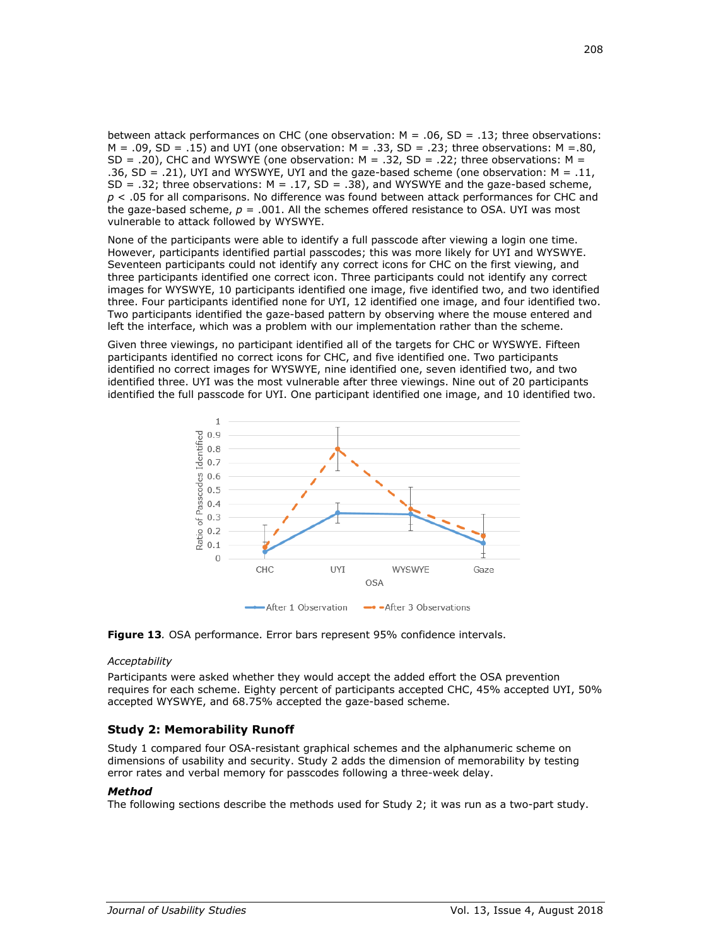between attack performances on CHC (one observation: M = .06, SD = .13; three observations:  $M = .09$ ,  $SD = .15$ ) and UYI (one observation:  $M = .33$ ,  $SD = .23$ ; three observations:  $M = .80$ ,  $SD = .20$ ), CHC and WYSWYE (one observation: M = .32, SD = .22; three observations: M = .36,  $SD = .21$ ), UYI and WYSWYE, UYI and the gaze-based scheme (one observation:  $M = .11$ , SD = .32; three observations:  $M = .17$ , SD = .38), and WYSWYE and the gaze-based scheme, *p* < .05 for all comparisons. No difference was found between attack performances for CHC and the gaze-based scheme,  $p = .001$ . All the schemes offered resistance to OSA. UYI was most vulnerable to attack followed by WYSWYE.

None of the participants were able to identify a full passcode after viewing a login one time. However, participants identified partial passcodes; this was more likely for UYI and WYSWYE. Seventeen participants could not identify any correct icons for CHC on the first viewing, and three participants identified one correct icon. Three participants could not identify any correct images for WYSWYE, 10 participants identified one image, five identified two, and two identified three. Four participants identified none for UYI, 12 identified one image, and four identified two. Two participants identified the gaze-based pattern by observing where the mouse entered and left the interface, which was a problem with our implementation rather than the scheme.

Given three viewings, no participant identified all of the targets for CHC or WYSWYE. Fifteen participants identified no correct icons for CHC, and five identified one. Two participants identified no correct images for WYSWYE, nine identified one, seven identified two, and two identified three. UYI was the most vulnerable after three viewings. Nine out of 20 participants identified the full passcode for UYI. One participant identified one image, and 10 identified two.





#### *Acceptability*

Participants were asked whether they would accept the added effort the OSA prevention requires for each scheme. Eighty percent of participants accepted CHC, 45% accepted UYI, 50% accepted WYSWYE, and 68.75% accepted the gaze-based scheme.

# **Study 2: Memorability Runoff**

Study 1 compared four OSA-resistant graphical schemes and the alphanumeric scheme on dimensions of usability and security. Study 2 adds the dimension of memorability by testing error rates and verbal memory for passcodes following a three-week delay.

#### *Method*

The following sections describe the methods used for Study 2; it was run as a two-part study.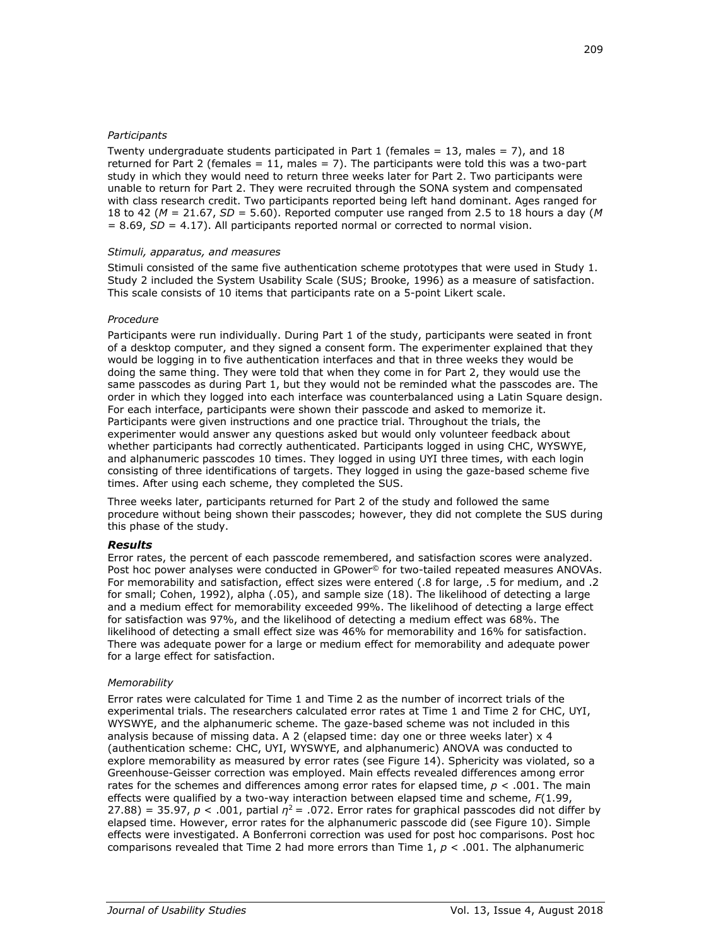# *Participants*

Twenty undergraduate students participated in Part 1 (females  $= 13$ , males  $= 7$ ), and 18 returned for Part 2 (females  $= 11$ , males  $= 7$ ). The participants were told this was a two-part study in which they would need to return three weeks later for Part 2. Two participants were unable to return for Part 2. They were recruited through the SONA system and compensated with class research credit. Two participants reported being left hand dominant. Ages ranged for 18 to 42 (*M* = 21.67, *SD* = 5.60). Reported computer use ranged from 2.5 to 18 hours a day (*M*  $= 8.69$ ,  $SD = 4.17$ ). All participants reported normal or corrected to normal vision.

# *Stimuli, apparatus, and measures*

Stimuli consisted of the same five authentication scheme prototypes that were used in Study 1. Study 2 included the System Usability Scale (SUS; Brooke, 1996) as a measure of satisfaction. This scale consists of 10 items that participants rate on a 5-point Likert scale.

# *Procedure*

Participants were run individually. During Part 1 of the study, participants were seated in front of a desktop computer, and they signed a consent form. The experimenter explained that they would be logging in to five authentication interfaces and that in three weeks they would be doing the same thing. They were told that when they come in for Part 2, they would use the same passcodes as during Part 1, but they would not be reminded what the passcodes are. The order in which they logged into each interface was counterbalanced using a Latin Square design. For each interface, participants were shown their passcode and asked to memorize it. Participants were given instructions and one practice trial. Throughout the trials, the experimenter would answer any questions asked but would only volunteer feedback about whether participants had correctly authenticated. Participants logged in using CHC, WYSWYE, and alphanumeric passcodes 10 times. They logged in using UYI three times, with each login consisting of three identifications of targets. They logged in using the gaze-based scheme five times. After using each scheme, they completed the SUS.

Three weeks later, participants returned for Part 2 of the study and followed the same procedure without being shown their passcodes; however, they did not complete the SUS during this phase of the study.

# *Results*

Error rates, the percent of each passcode remembered, and satisfaction scores were analyzed. Post hoc power analyses were conducted in GPower<sup>®</sup> for two-tailed repeated measures ANOVAs. For memorability and satisfaction, effect sizes were entered (.8 for large, .5 for medium, and .2 for small; Cohen, 1992), alpha (.05), and sample size (18). The likelihood of detecting a large and a medium effect for memorability exceeded 99%. The likelihood of detecting a large effect for satisfaction was 97%, and the likelihood of detecting a medium effect was 68%. The likelihood of detecting a small effect size was 46% for memorability and 16% for satisfaction. There was adequate power for a large or medium effect for memorability and adequate power for a large effect for satisfaction.

# *Memorability*

Error rates were calculated for Time 1 and Time 2 as the number of incorrect trials of the experimental trials. The researchers calculated error rates at Time 1 and Time 2 for CHC, UYI, WYSWYE, and the alphanumeric scheme. The gaze-based scheme was not included in this analysis because of missing data. A 2 (elapsed time: day one or three weeks later) x 4 (authentication scheme: CHC, UYI, WYSWYE, and alphanumeric) ANOVA was conducted to explore memorability as measured by error rates (see Figure 14). Sphericity was violated, so a Greenhouse-Geisser correction was employed. Main effects revealed differences among error rates for the schemes and differences among error rates for elapsed time, *p* < .001. The main effects were qualified by a two-way interaction between elapsed time and scheme, *F*(1.99, 27.88) = 35.97,  $p < .001$ , partial  $\eta^2$  = .072. Error rates for graphical passcodes did not differ by elapsed time. However, error rates for the alphanumeric passcode did (see Figure 10). Simple effects were investigated. A Bonferroni correction was used for post hoc comparisons. Post hoc comparisons revealed that Time 2 had more errors than Time 1, *p* < .001. The alphanumeric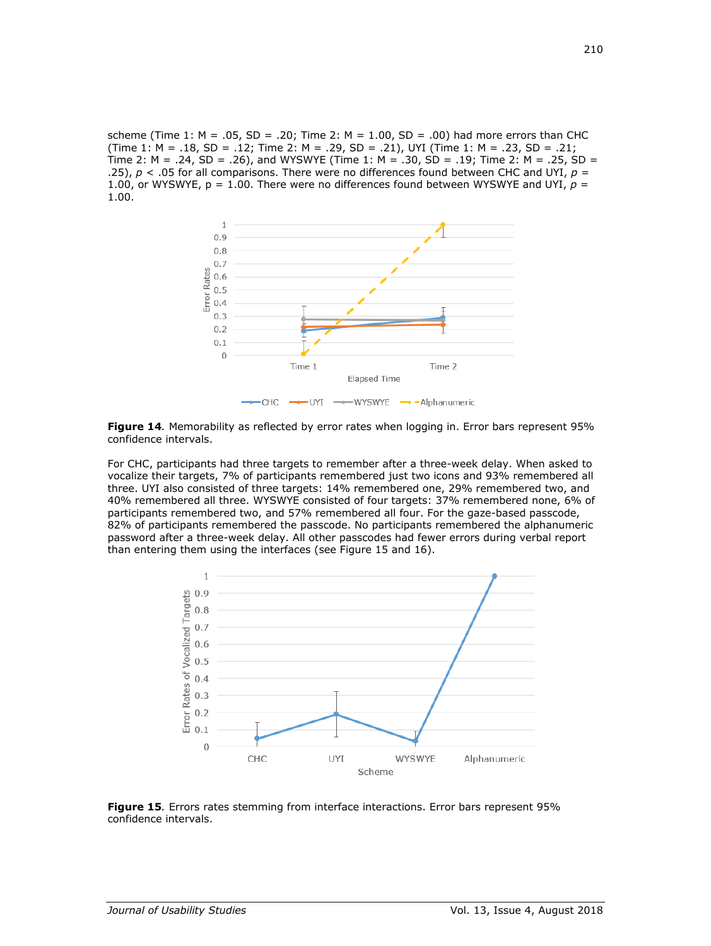scheme (Time 1:  $M = .05$ , SD = .20; Time 2:  $M = 1.00$ , SD = .00) had more errors than CHC (Time 1:  $M = .18$ ,  $SD = .12$ ; Time 2:  $M = .29$ ,  $SD = .21$ ), UYI (Time 1:  $M = .23$ ,  $SD = .21$ ; Time 2:  $M = .24$ ,  $SD = .26$ ), and WYSWYE (Time 1:  $M = .30$ ,  $SD = .19$ ; Time 2:  $M = .25$ ,  $SD =$ .25),  $p <$  .05 for all comparisons. There were no differences found between CHC and UYI,  $p =$ 1.00, or WYSWYE,  $p = 1.00$ . There were no differences found between WYSWYE and UYI,  $p =$ 1.00.



**Figure 14***.* Memorability as reflected by error rates when logging in. Error bars represent 95% confidence intervals.

For CHC, participants had three targets to remember after a three-week delay. When asked to vocalize their targets, 7% of participants remembered just two icons and 93% remembered all three. UYI also consisted of three targets: 14% remembered one, 29% remembered two, and 40% remembered all three. WYSWYE consisted of four targets: 37% remembered none, 6% of participants remembered two, and 57% remembered all four. For the gaze-based passcode, 82% of participants remembered the passcode. No participants remembered the alphanumeric password after a three-week delay. All other passcodes had fewer errors during verbal report than entering them using the interfaces (see Figure 15 and 16).



**Figure 15***.* Errors rates stemming from interface interactions. Error bars represent 95% confidence intervals.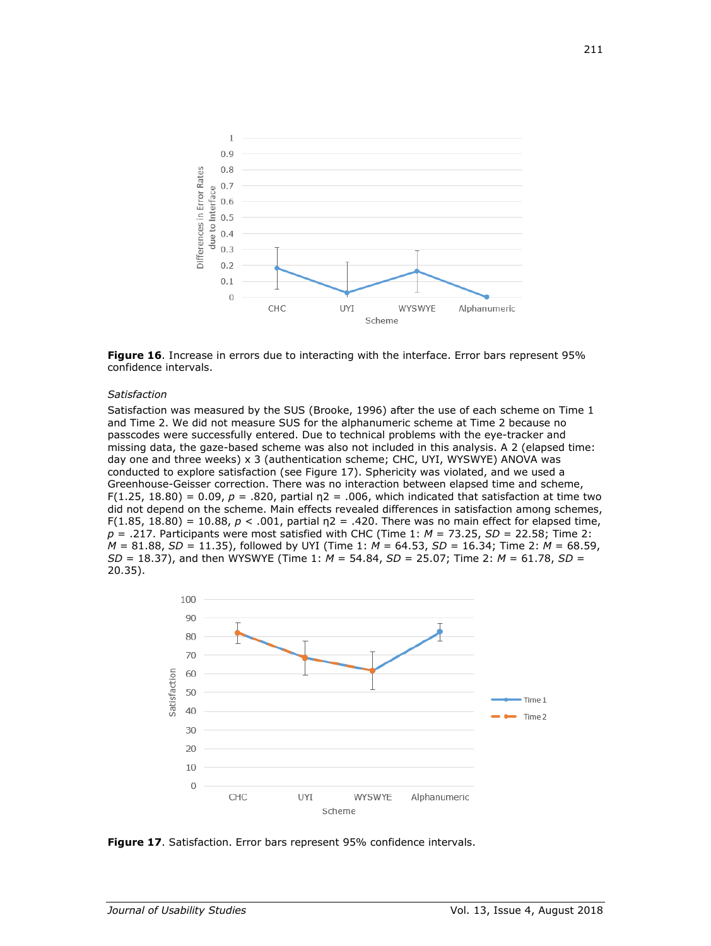



#### *Satisfaction*

Satisfaction was measured by the SUS (Brooke, 1996) after the use of each scheme on Time 1 and Time 2. We did not measure SUS for the alphanumeric scheme at Time 2 because no passcodes were successfully entered. Due to technical problems with the eye-tracker and missing data, the gaze-based scheme was also not included in this analysis. A 2 (elapsed time: day one and three weeks) x 3 (authentication scheme; CHC, UYI, WYSWYE) ANOVA was conducted to explore satisfaction (see Figure 17). Sphericity was violated, and we used a Greenhouse-Geisser correction. There was no interaction between elapsed time and scheme, F(1.25, 18.80) = 0.09,  $p = .820$ , partial  $n = 0.06$ , which indicated that satisfaction at time two did not depend on the scheme. Main effects revealed differences in satisfaction among schemes, F(1.85, 18.80) = 10.88,  $p < .001$ , partial  $p = .420$ . There was no main effect for elapsed time, *p* = .217. Participants were most satisfied with CHC (Time 1: *M* = 73.25, *SD* = 22.58; Time 2: *M* = 81.88, *SD* = 11.35), followed by UYI (Time 1: *M* = 64.53, *SD* = 16.34; Time 2: *M* = 68.59, *SD* = 18.37), and then WYSWYE (Time 1: *M* = 54.84, *SD* = 25.07; Time 2: *M* = 61.78, *SD* = 20.35).



**Figure 17**. Satisfaction. Error bars represent 95% confidence intervals.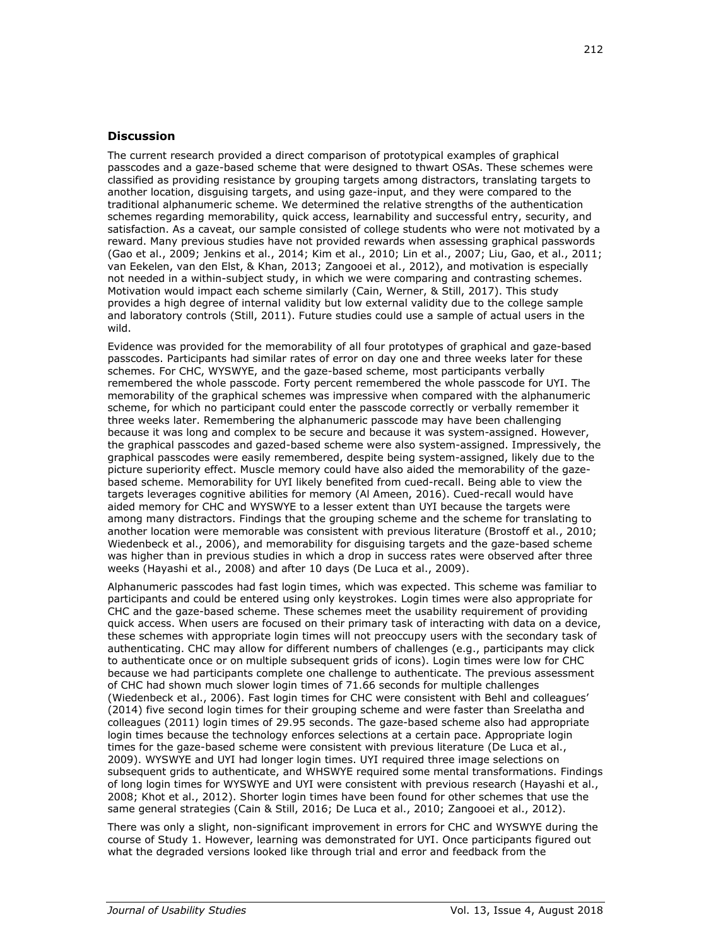# **Discussion**

The current research provided a direct comparison of prototypical examples of graphical passcodes and a gaze-based scheme that were designed to thwart OSAs. These schemes were classified as providing resistance by grouping targets among distractors, translating targets to another location, disguising targets, and using gaze-input, and they were compared to the traditional alphanumeric scheme. We determined the relative strengths of the authentication schemes regarding memorability, quick access, learnability and successful entry, security, and satisfaction. As a caveat, our sample consisted of college students who were not motivated by a reward. Many previous studies have not provided rewards when assessing graphical passwords (Gao et al., 2009; Jenkins et al., 2014; Kim et al., 2010; Lin et al., 2007; Liu, Gao, et al., 2011; van Eekelen, van den Elst, & Khan, 2013; Zangooei et al., 2012), and motivation is especially not needed in a within-subject study, in which we were comparing and contrasting schemes. Motivation would impact each scheme similarly (Cain, Werner, & Still, 2017). This study provides a high degree of internal validity but low external validity due to the college sample and laboratory controls (Still, 2011). Future studies could use a sample of actual users in the wild.

Evidence was provided for the memorability of all four prototypes of graphical and gaze-based passcodes. Participants had similar rates of error on day one and three weeks later for these schemes. For CHC, WYSWYE, and the gaze-based scheme, most participants verbally remembered the whole passcode. Forty percent remembered the whole passcode for UYI. The memorability of the graphical schemes was impressive when compared with the alphanumeric scheme, for which no participant could enter the passcode correctly or verbally remember it three weeks later. Remembering the alphanumeric passcode may have been challenging because it was long and complex to be secure and because it was system-assigned. However, the graphical passcodes and gazed-based scheme were also system-assigned. Impressively, the graphical passcodes were easily remembered, despite being system-assigned, likely due to the picture superiority effect. Muscle memory could have also aided the memorability of the gazebased scheme. Memorability for UYI likely benefited from cued-recall. Being able to view the targets leverages cognitive abilities for memory (Al Ameen, 2016). Cued-recall would have aided memory for CHC and WYSWYE to a lesser extent than UYI because the targets were among many distractors. Findings that the grouping scheme and the scheme for translating to another location were memorable was consistent with previous literature (Brostoff et al., 2010; Wiedenbeck et al., 2006), and memorability for disguising targets and the gaze-based scheme was higher than in previous studies in which a drop in success rates were observed after three weeks (Hayashi et al., 2008) and after 10 days (De Luca et al., 2009).

Alphanumeric passcodes had fast login times, which was expected. This scheme was familiar to participants and could be entered using only keystrokes. Login times were also appropriate for CHC and the gaze-based scheme. These schemes meet the usability requirement of providing quick access. When users are focused on their primary task of interacting with data on a device, these schemes with appropriate login times will not preoccupy users with the secondary task of authenticating. CHC may allow for different numbers of challenges (e.g., participants may click to authenticate once or on multiple subsequent grids of icons). Login times were low for CHC because we had participants complete one challenge to authenticate. The previous assessment of CHC had shown much slower login times of 71.66 seconds for multiple challenges (Wiedenbeck et al., 2006). Fast login times for CHC were consistent with Behl and colleagues' (2014) five second login times for their grouping scheme and were faster than Sreelatha and colleagues (2011) login times of 29.95 seconds. The gaze-based scheme also had appropriate login times because the technology enforces selections at a certain pace. Appropriate login times for the gaze-based scheme were consistent with previous literature (De Luca et al., 2009). WYSWYE and UYI had longer login times. UYI required three image selections on subsequent grids to authenticate, and WHSWYE required some mental transformations. Findings of long login times for WYSWYE and UYI were consistent with previous research (Hayashi et al., 2008; Khot et al., 2012). Shorter login times have been found for other schemes that use the same general strategies (Cain & Still, 2016; De Luca et al., 2010; Zangooei et al., 2012).

There was only a slight, non-significant improvement in errors for CHC and WYSWYE during the course of Study 1. However, learning was demonstrated for UYI. Once participants figured out what the degraded versions looked like through trial and error and feedback from the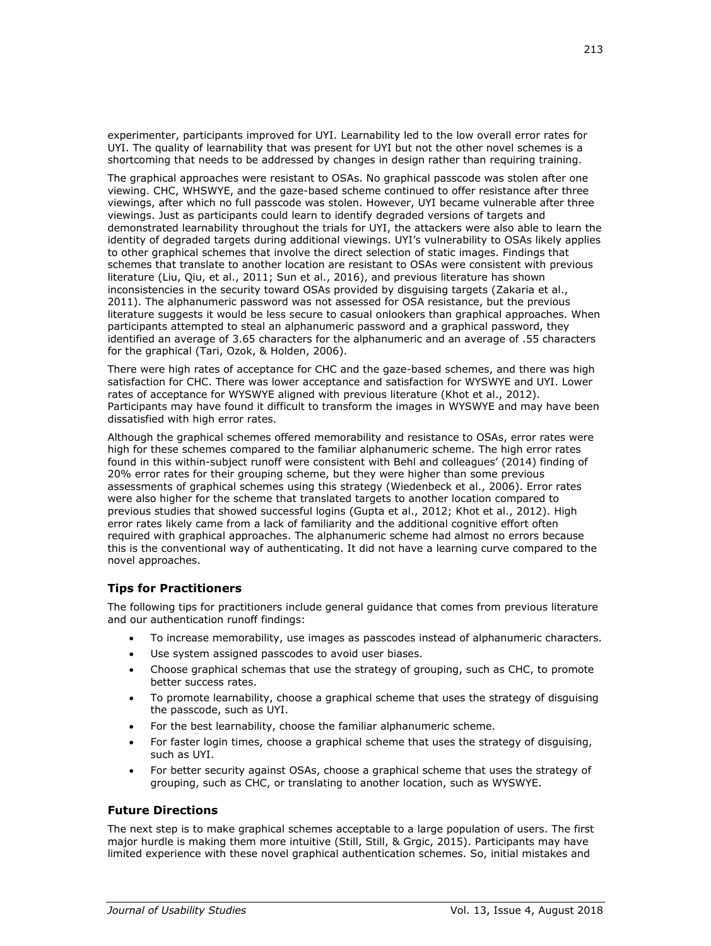experimenter, participants improved for UYI. Learnability led to the low overall error rates for UYI. The quality of learnability that was present for UYI but not the other novel schemes is a shortcoming that needs to be addressed by changes in design rather than requiring training.

The graphical approaches were resistant to OSAs. No graphical passcode was stolen after one viewing. CHC, WHSWYE, and the gaze-based scheme continued to offer resistance after three viewings, after which no full passcode was stolen. However, UYI became vulnerable after three viewings. Just as participants could learn to identify degraded versions of targets and demonstrated learnability throughout the trials for UYI, the attackers were also able to learn the identity of degraded targets during additional viewings. UYI's vulnerability to OSAs likely applies to other graphical schemes that involve the direct selection of static images. Findings that schemes that translate to another location are resistant to OSAs were consistent with previous literature (Liu, Qiu, et al., 2011; Sun et al., 2016), and previous literature has shown inconsistencies in the security toward OSAs provided by disguising targets (Zakaria et al., 2011). The alphanumeric password was not assessed for OSA resistance, but the previous literature suggests it would be less secure to casual onlookers than graphical approaches. When participants attempted to steal an alphanumeric password and a graphical password, they identified an average of 3.65 characters for the alphanumeric and an average of .55 characters for the graphical (Tari, Ozok, & Holden, 2006).

There were high rates of acceptance for CHC and the gaze-based schemes, and there was high satisfaction for CHC. There was lower acceptance and satisfaction for WYSWYE and UYI. Lower rates of acceptance for WYSWYE aligned with previous literature (Khot et al., 2012). Participants may have found it difficult to transform the images in WYSWYE and may have been dissatisfied with high error rates.

Although the graphical schemes offered memorability and resistance to OSAs, error rates were high for these schemes compared to the familiar alphanumeric scheme. The high error rates found in this within-subject runoff were consistent with Behl and colleagues' (2014) finding of 20% error rates for their grouping scheme, but they were higher than some previous assessments of graphical schemes using this strategy (Wiedenbeck et al., 2006). Error rates were also higher for the scheme that translated targets to another location compared to previous studies that showed successful logins (Gupta et al., 2012; Khot et al., 2012). High error rates likely came from a lack of familiarity and the additional cognitive effort often required with graphical approaches. The alphanumeric scheme had almost no errors because this is the conventional way of authenticating. It did not have a learning curve compared to the novel approaches.

# **Tips for Practitioners**

The following tips for practitioners include general guidance that comes from previous literature and our authentication runoff findings:

- To increase memorability, use images as passcodes instead of alphanumeric characters.
- Use system assigned passcodes to avoid user biases.
- Choose graphical schemas that use the strategy of grouping, such as CHC, to promote better success rates.
- To promote learnability, choose a graphical scheme that uses the strategy of disguising the passcode, such as UYI.
- For the best learnability, choose the familiar alphanumeric scheme.
- For faster login times, choose a graphical scheme that uses the strategy of disguising, such as UYI.
- For better security against OSAs, choose a graphical scheme that uses the strategy of grouping, such as CHC, or translating to another location, such as WYSWYE.

# **Future Directions**

The next step is to make graphical schemes acceptable to a large population of users. The first major hurdle is making them more intuitive (Still, Still, & Grgic, 2015). Participants may have limited experience with these novel graphical authentication schemes. So, initial mistakes and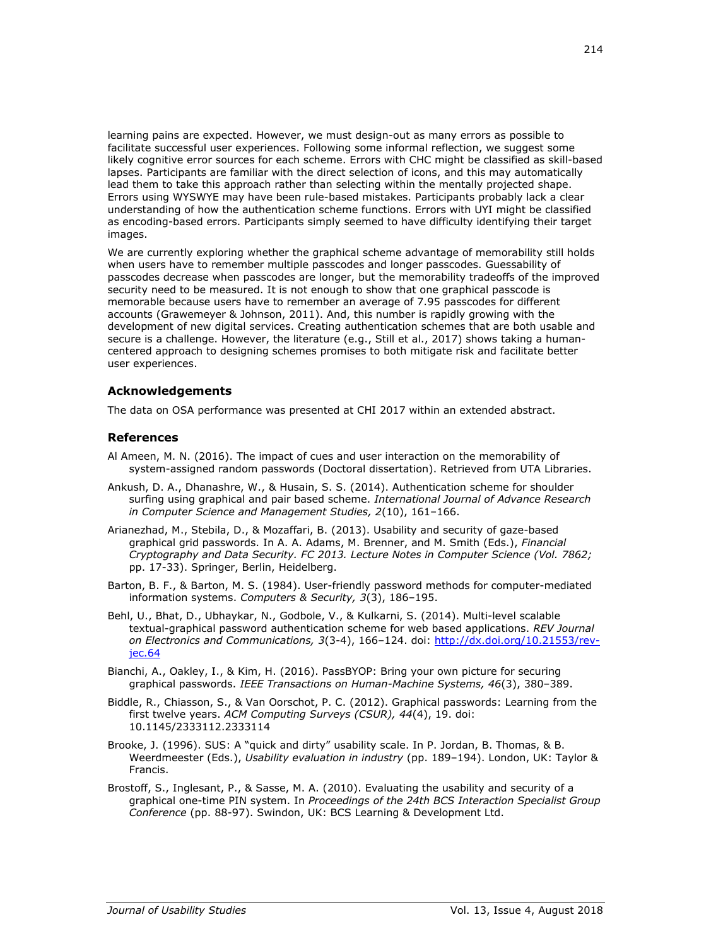learning pains are expected. However, we must design-out as many errors as possible to facilitate successful user experiences. Following some informal reflection, we suggest some likely cognitive error sources for each scheme. Errors with CHC might be classified as skill-based lapses. Participants are familiar with the direct selection of icons, and this may automatically lead them to take this approach rather than selecting within the mentally projected shape. Errors using WYSWYE may have been rule-based mistakes. Participants probably lack a clear understanding of how the authentication scheme functions. Errors with UYI might be classified as encoding-based errors. Participants simply seemed to have difficulty identifying their target images.

We are currently exploring whether the graphical scheme advantage of memorability still holds when users have to remember multiple passcodes and longer passcodes. Guessability of passcodes decrease when passcodes are longer, but the memorability tradeoffs of the improved security need to be measured. It is not enough to show that one graphical passcode is memorable because users have to remember an average of 7.95 passcodes for different accounts (Grawemeyer & Johnson, 2011). And, this number is rapidly growing with the development of new digital services. Creating authentication schemes that are both usable and secure is a challenge. However, the literature (e.g., Still et al., 2017) shows taking a humancentered approach to designing schemes promises to both mitigate risk and facilitate better user experiences.

# **Acknowledgements**

The data on OSA performance was presented at CHI 2017 within an extended abstract.

# **References**

- Al Ameen, M. N. (2016). The impact of cues and user interaction on the memorability of system-assigned random passwords (Doctoral dissertation). Retrieved from UTA Libraries.
- Ankush, D. A., Dhanashre, W., & Husain, S. S. (2014). Authentication scheme for shoulder surfing using graphical and pair based scheme. *International Journal of Advance Research in Computer Science and Management Studies, 2*(10), 161–166.
- Arianezhad, M., Stebila, D., & Mozaffari, B. (2013). Usability and security of gaze-based graphical grid passwords. In A. A. Adams, M. Brenner, and M. Smith (Eds.), *Financial Cryptography and Data Security. FC 2013. Lecture Notes in Computer Science (Vol. 7862;*  pp. 17-33). Springer, Berlin, Heidelberg.
- Barton, B. F., & Barton, M. S. (1984). User-friendly password methods for computer-mediated information systems. *Computers & Security, 3*(3), 186–195.
- Behl, U., Bhat, D., Ubhaykar, N., Godbole, V., & Kulkarni, S. (2014). Multi-level scalable textual-graphical password authentication scheme for web based applications. *REV Journal on Electronics and Communications, 3*(3-4), 166–124. doi: [http://dx.doi.org/10.21553/rev](http://dx.doi.org/10.21553/rev-jec.64)[jec.64](http://dx.doi.org/10.21553/rev-jec.64)
- Bianchi, A., Oakley, I., & Kim, H. (2016). PassBYOP: Bring your own picture for securing graphical passwords. *IEEE Transactions on Human-Machine Systems, 46*(3), 380–389.
- Biddle, R., Chiasson, S., & Van Oorschot, P. C. (2012). Graphical passwords: Learning from the first twelve years. *ACM Computing Surveys (CSUR), 44*(4), 19. doi: [10.1145/2333112.2333114](https://doi.org/10.1145/2333112.2333114)
- Brooke, J. (1996). SUS: A "quick and dirty" usability scale. In P. Jordan, B. Thomas, & B. Weerdmeester (Eds.), *Usability evaluation in industry* (pp. 189–194). London, UK: Taylor & Francis.
- Brostoff, S., Inglesant, P., & Sasse, M. A. (2010). Evaluating the usability and security of a graphical one-time PIN system. In *Proceedings of the 24th BCS Interaction Specialist Group Conference* (pp. 88-97). Swindon, UK: BCS Learning & Development Ltd.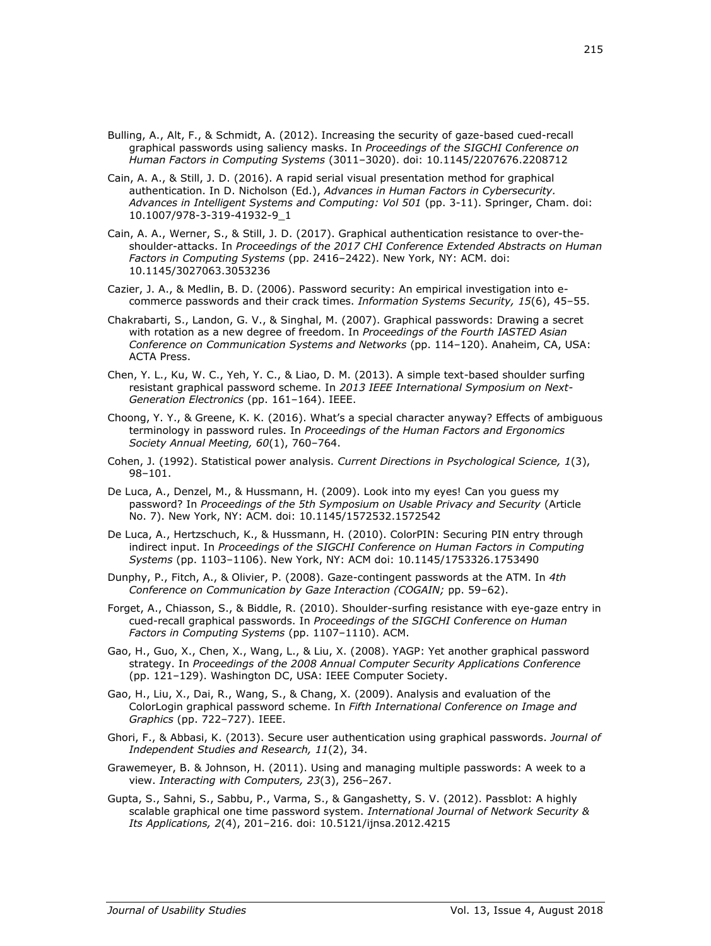- Bulling, A., Alt, F., & Schmidt, A. (2012). Increasing the security of gaze-based cued-recall graphical passwords using saliency masks. In *Proceedings of the SIGCHI Conference on Human Factors in Computing Systems* (3011–3020). doi: [10.1145/2207676.2208712](https://doi.org/10.1145/2207676.2208712)
- Cain, A. A., & Still, J. D. (2016). A rapid serial visual presentation method for graphical authentication. In D. Nicholson (Ed.), *Advances in Human Factors in Cybersecurity. Advances in Intelligent Systems and Computing: Vol 501* (pp. 3-11). Springer, Cham. doi: 10.1007/978-3-319-41932-9\_1
- Cain, A. A., Werner, S., & Still, J. D. (2017). Graphical authentication resistance to over-theshoulder-attacks. In *Proceedings of the 2017 CHI Conference Extended Abstracts on Human Factors in Computing Systems* (pp. 2416–2422). New York, NY: ACM. doi: [10.1145/3027063.3053236](https://doi.org/10.1145/3027063.3053236)
- Cazier, J. A., & Medlin, B. D. (2006). Password security: An empirical investigation into ecommerce passwords and their crack times. *Information Systems Security, 15*(6), 45–55.
- Chakrabarti, S., Landon, G. V., & Singhal, M. (2007). Graphical passwords: Drawing a secret with rotation as a new degree of freedom. In *Proceedings of the Fourth IASTED Asian Conference on Communication Systems and Networks* (pp. 114–120). Anaheim, CA, USA: ACTA Press.
- Chen, Y. L., Ku, W. C., Yeh, Y. C., & Liao, D. M. (2013). A simple text-based shoulder surfing resistant graphical password scheme. In *2013 IEEE International Symposium on Next-Generation Electronics* (pp. 161–164). IEEE.
- Choong, Y. Y., & Greene, K. K. (2016). What's a special character anyway? Effects of ambiguous terminology in password rules. In *Proceedings of the Human Factors and Ergonomics Society Annual Meeting, 60*(1), 760–764.
- Cohen, J. (1992). Statistical power analysis. *Current Directions in Psychological Science, 1*(3), 98–101.
- De Luca, A., Denzel, M., & Hussmann, H. (2009). Look into my eyes! Can you guess my password? In *Proceedings of the 5th Symposium on Usable Privacy and Security* (Article No. 7). New York, NY: ACM. doi: [10.1145/1572532.1572542](https://doi.org/10.1145/1572532.1572542)
- De Luca, A., Hertzschuch, K., & Hussmann, H. (2010). ColorPIN: Securing PIN entry through indirect input. In *Proceedings of the SIGCHI Conference on Human Factors in Computing Systems* (pp. 1103–1106). New York, NY: ACM doi: [10.1145/1753326.1753490](https://doi.org/10.1145/1753326.1753490)
- Dunphy, P., Fitch, A., & Olivier, P. (2008). Gaze-contingent passwords at the ATM. In *4th Conference on Communication by Gaze Interaction (COGAIN;* pp. 59–62).
- Forget, A., Chiasson, S., & Biddle, R. (2010). Shoulder-surfing resistance with eye-gaze entry in cued-recall graphical passwords. In *Proceedings of the SIGCHI Conference on Human Factors in Computing Systems* (pp. 1107–1110). ACM.
- Gao, H., Guo, X., Chen, X., Wang, L., & Liu, X. (2008). YAGP: Yet another graphical password strategy. In *Proceedings of the 2008 Annual Computer Security Applications Conference* (pp. 121–129). Washington DC, USA: IEEE Computer Society.
- Gao, H., Liu, X., Dai, R., Wang, S., & Chang, X. (2009). Analysis and evaluation of the ColorLogin graphical password scheme. In *Fifth International Conference on Image and Graphics* (pp. 722–727). IEEE.
- Ghori, F., & Abbasi, K. (2013). Secure user authentication using graphical passwords. *Journal of Independent Studies and Research, 11*(2), 34.
- Grawemeyer, B. & Johnson, H. (2011). Using and managing multiple passwords: A week to a view. *Interacting with Computers, 23*(3), 256–267.
- Gupta, S., Sahni, S., Sabbu, P., Varma, S., & Gangashetty, S. V. (2012). Passblot: A highly scalable graphical one time password system. *International Journal of Network Security & Its Applications, 2*(4), 201–216. doi: 10.5121/ijnsa.2012.4215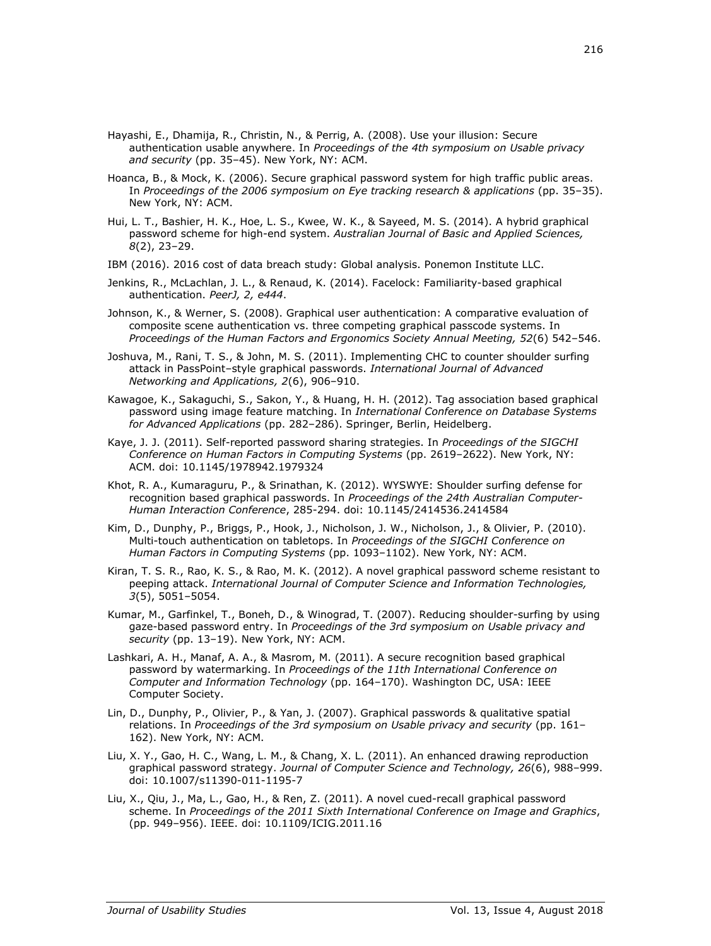- Hayashi, E., Dhamija, R., Christin, N., & Perrig, A. (2008). Use your illusion: Secure authentication usable anywhere. In *Proceedings of the 4th symposium on Usable privacy and security* (pp. 35–45). New York, NY: ACM.
- Hoanca, B., & Mock, K. (2006). Secure graphical password system for high traffic public areas. In *Proceedings of the 2006 symposium on Eye tracking research & applications* (pp. 35–35). New York, NY: ACM.
- Hui, L. T., Bashier, H. K., Hoe, L. S., Kwee, W. K., & Sayeed, M. S. (2014). A hybrid graphical password scheme for high-end system. *Australian Journal of Basic and Applied Sciences, 8*(2), 23–29.
- IBM (2016). 2016 cost of data breach study: Global analysis. Ponemon Institute LLC.
- Jenkins, R., McLachlan, J. L., & Renaud, K. (2014). Facelock: Familiarity-based graphical authentication. *PeerJ, 2, e444*.
- Johnson, K., & Werner, S. (2008). Graphical user authentication: A comparative evaluation of composite scene authentication vs. three competing graphical passcode systems. In *Proceedings of the Human Factors and Ergonomics Society Annual Meeting, 52*(6) 542–546.
- Joshuva, M., Rani, T. S., & John, M. S. (2011). Implementing CHC to counter shoulder surfing attack in PassPoint–style graphical passwords. *International Journal of Advanced Networking and Applications, 2*(6), 906–910.
- Kawagoe, K., Sakaguchi, S., Sakon, Y., & Huang, H. H. (2012). Tag association based graphical password using image feature matching. In *International Conference on Database Systems for Advanced Applications* (pp. 282–286). Springer, Berlin, Heidelberg.
- Kaye, J. J. (2011). Self-reported password sharing strategies. In *Proceedings of the SIGCHI Conference on Human Factors in Computing Systems* (pp. 2619–2622). New York, NY: ACM. doi: [10.1145/1978942.1979324](https://doi.org/10.1145/1978942.1979324)
- Khot, R. A., Kumaraguru, P., & Srinathan, K. (2012). WYSWYE: Shoulder surfing defense for recognition based graphical passwords. In *Proceedings of the 24th Australian Computer-Human Interaction Conference*, 285-294. doi: [10.1145/2414536.2414584](https://doi.org/10.1145/2414536.2414584)
- Kim, D., Dunphy, P., Briggs, P., Hook, J., Nicholson, J. W., Nicholson, J., & Olivier, P. (2010). Multi-touch authentication on tabletops. In *Proceedings of the SIGCHI Conference on Human Factors in Computing Systems* (pp. 1093–1102). New York, NY: ACM.
- Kiran, T. S. R., Rao, K. S., & Rao, M. K. (2012). A novel graphical password scheme resistant to peeping attack. *International Journal of Computer Science and Information Technologies, 3*(5), 5051–5054.
- Kumar, M., Garfinkel, T., Boneh, D., & Winograd, T. (2007). Reducing shoulder-surfing by using gaze-based password entry. In *Proceedings of the 3rd symposium on Usable privacy and security* (pp. 13–19). New York, NY: ACM.
- Lashkari, A. H., Manaf, A. A., & Masrom, M. (2011). A secure recognition based graphical password by watermarking. In *Proceedings of the 11th International Conference on Computer and Information Technology* (pp. 164–170). Washington DC, USA: IEEE Computer Society.
- Lin, D., Dunphy, P., Olivier, P., & Yan, J. (2007). Graphical passwords & qualitative spatial relations. In *Proceedings of the 3rd symposium on Usable privacy and security* (pp. 161– 162). New York, NY: ACM.
- Liu, X. Y., Gao, H. C., Wang, L. M., & Chang, X. L. (2011). An enhanced drawing reproduction graphical password strategy. *Journal of Computer Science and Technology, 26*(6), 988–999. doi: 10.1007/s11390-011-1195-7
- Liu, X., Qiu, J., Ma, L., Gao, H., & Ren, Z. (2011). A novel cued-recall graphical password scheme. In *Proceedings of the 2011 Sixth International Conference on Image and Graphics*, (pp. 949–956). IEEE. doi: [10.1109/ICIG.2011.16](https://doi.org/10.1109/ICIG.2011.16)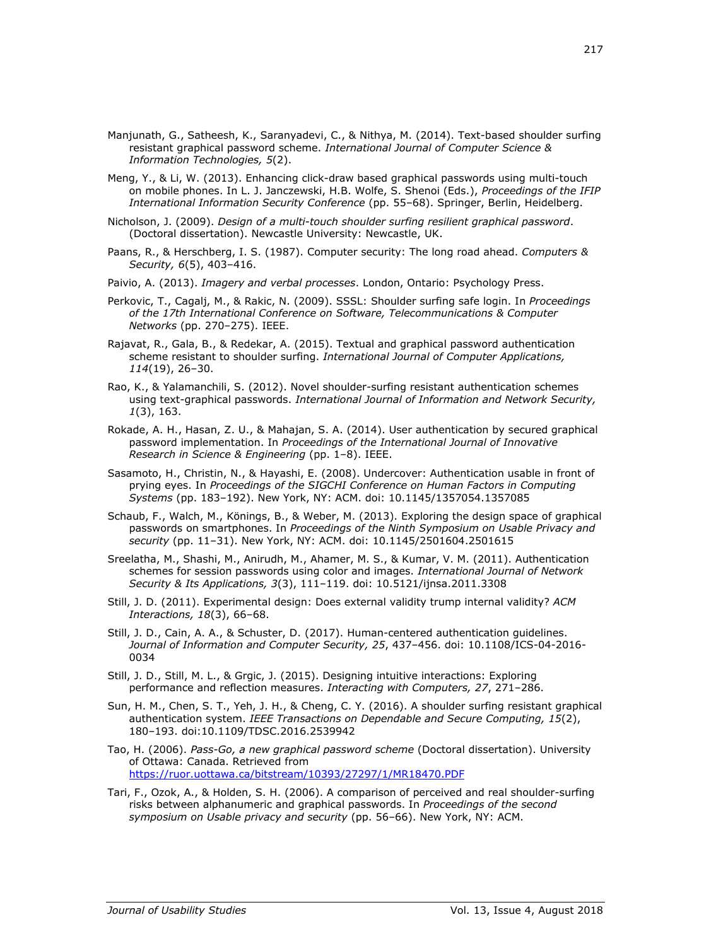- Manjunath, G., Satheesh, K., Saranyadevi, C., & Nithya, M. (2014). Text-based shoulder surfing resistant graphical password scheme. *International Journal of Computer Science & Information Technologies, 5*(2).
- Meng, Y., & Li, W. (2013). Enhancing click-draw based graphical passwords using multi-touch on mobile phones. In L. J. Janczewski, H.B. Wolfe, S. Shenoi (Eds.), *Proceedings of the IFIP International Information Security Conference* (pp. 55–68). Springer, Berlin, Heidelberg.
- Nicholson, J. (2009). *Design of a multi-touch shoulder surfing resilient graphical password*. (Doctoral dissertation). Newcastle University: Newcastle, UK.
- Paans, R., & Herschberg, I. S. (1987). Computer security: The long road ahead. *Computers & Security, 6*(5), 403–416.
- Paivio, A. (2013). *Imagery and verbal processes*. London, Ontario: Psychology Press.
- Perkovic, T., Cagalj, M., & Rakic, N. (2009). SSSL: Shoulder surfing safe login. In *Proceedings of the 17th International Conference on Software, Telecommunications & Computer Networks* (pp. 270–275). IEEE.
- Rajavat, R., Gala, B., & Redekar, A. (2015). Textual and graphical password authentication scheme resistant to shoulder surfing. *International Journal of Computer Applications, 114*(19), 26–30.
- Rao, K., & Yalamanchili, S. (2012). Novel shoulder-surfing resistant authentication schemes using text-graphical passwords. *International Journal of Information and Network Security, 1*(3), 163.
- Rokade, A. H., Hasan, Z. U., & Mahajan, S. A. (2014). User authentication by secured graphical password implementation. In *Proceedings of the International Journal of Innovative Research in Science & Engineering* (pp. 1–8). IEEE.
- Sasamoto, H., Christin, N., & Hayashi, E. (2008). Undercover: Authentication usable in front of prying eyes. In *Proceedings of the SIGCHI Conference on Human Factors in Computing Systems* (pp. 183–192). New York, NY: ACM. doi: [10.1145/1357054.1357085](https://doi.org/10.1145/1357054.1357085)
- Schaub, F., Walch, M., Könings, B., & Weber, M. (2013). Exploring the design space of graphical passwords on smartphones. In *Proceedings of the Ninth Symposium on Usable Privacy and security* (pp. 11–31). New York, NY: ACM. doi: [10.1145/2501604.2501615](https://doi.org/10.1145/2501604.2501615)
- Sreelatha, M., Shashi, M., Anirudh, M., Ahamer, M. S., & Kumar, V. M. (2011). Authentication schemes for session passwords using color and images. *International Journal of Network Security & Its Applications, 3*(3), 111–119. doi: 10.5121/ijnsa.2011.3308
- Still, J. D. (2011). Experimental design: Does external validity trump internal validity? *ACM Interactions, 18*(3), 66–68.
- Still, J. D., Cain, A. A., & Schuster, D. (2017). Human-centered authentication guidelines. *Journal of Information and Computer Security, 25*, 437–456. doi: 10.1108/ICS-04-2016- 0034
- Still, J. D., Still, M. L., & Grgic, J. (2015). Designing intuitive interactions: Exploring performance and reflection measures. *Interacting with Computers, 27*, 271–286.
- Sun, H. M., Chen, S. T., Yeh, J. H., & Cheng, C. Y. (2016). A shoulder surfing resistant graphical authentication system. *IEEE Transactions on Dependable and Secure Computing, 15*(2), 180–193. doi[:10.1109/TDSC.2016.2539942](https://doi.org/10.1109/TDSC.2016.2539942)
- Tao, H. (2006). *Pass-Go, a new graphical password scheme* (Doctoral dissertation). University of Ottawa: Canada. Retrieved from <https://ruor.uottawa.ca/bitstream/10393/27297/1/MR18470.PDF>
- Tari, F., Ozok, A., & Holden, S. H. (2006). A comparison of perceived and real shoulder-surfing risks between alphanumeric and graphical passwords. In *Proceedings of the second symposium on Usable privacy and security* (pp. 56–66). New York, NY: ACM.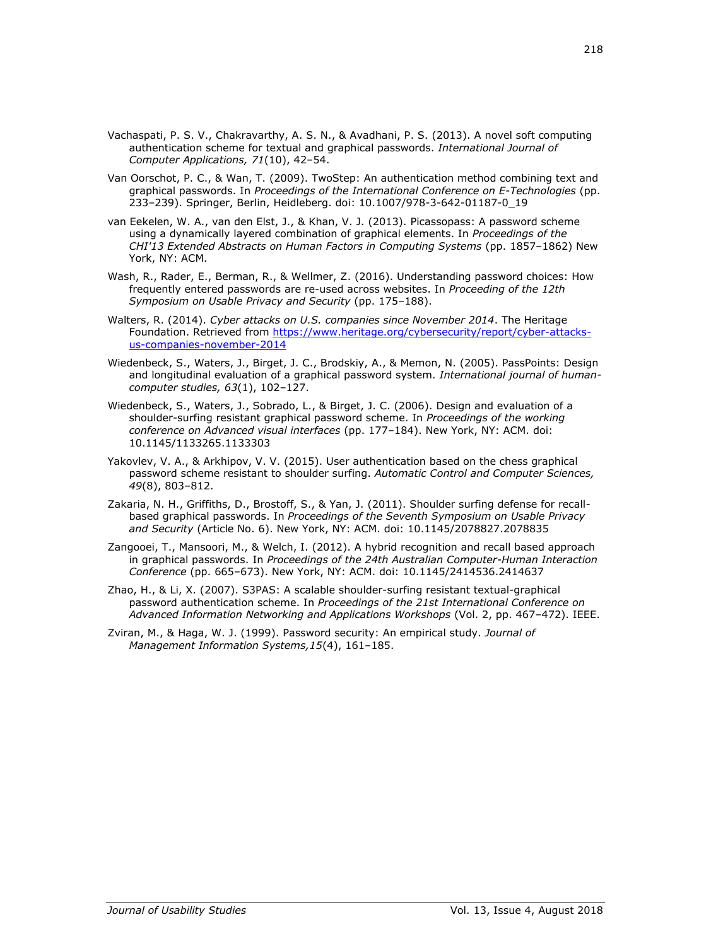- Vachaspati, P. S. V., Chakravarthy, A. S. N., & Avadhani, P. S. (2013). A novel soft computing authentication scheme for textual and graphical passwords. *International Journal of Computer Applications, 71*(10), 42–54.
- Van Oorschot, P. C., & Wan, T. (2009). TwoStep: An authentication method combining text and graphical passwords. In *Proceedings of the International Conference on E-Technologies* (pp. 233–239). Springer, Berlin, Heidleberg. doi: 10.1007/978-3-642-01187-0\_19
- van Eekelen, W. A., van den Elst, J., & Khan, V. J. (2013). Picassopass: A password scheme using a dynamically layered combination of graphical elements. In *Proceedings of the CHI'13 Extended Abstracts on Human Factors in Computing Systems* (pp. 1857–1862) New York, NY: ACM.
- Wash, R., Rader, E., Berman, R., & Wellmer, Z. (2016). Understanding password choices: How frequently entered passwords are re-used across websites. In *Proceeding of the 12th Symposium on Usable Privacy and Security* (pp. 175–188).
- Walters, R. (2014). *Cyber attacks on U.S. companies since November 2014*. The Heritage Foundation. Retrieved from [https://www.heritage.org/cybersecurity/report/cyber-attacks](https://www.heritage.org/cybersecurity/report/cyber-attacks-us-companies-november-2014)[us-companies-november-2014](https://www.heritage.org/cybersecurity/report/cyber-attacks-us-companies-november-2014)
- Wiedenbeck, S., Waters, J., Birget, J. C., Brodskiy, A., & Memon, N. (2005). PassPoints: Design and longitudinal evaluation of a graphical password system. *International journal of humancomputer studies, 63*(1), 102–127.
- Wiedenbeck, S., Waters, J., Sobrado, L., & Birget, J. C. (2006). Design and evaluation of a shoulder-surfing resistant graphical password scheme. In *Proceedings of the working conference on Advanced visual interfaces* (pp. 177–184). New York, NY: ACM. doi: [10.1145/1133265.1133303](https://doi.org/10.1145/1133265.1133303)
- Yakovlev, V. A., & Arkhipov, V. V. (2015). User authentication based on the chess graphical password scheme resistant to shoulder surfing. *Automatic Control and Computer Sciences, 49*(8), 803–812.
- Zakaria, N. H., Griffiths, D., Brostoff, S., & Yan, J. (2011). Shoulder surfing defense for recallbased graphical passwords. In *Proceedings of the Seventh Symposium on Usable Privacy and Security* (Article No. 6). New York, NY: ACM. doi: [10.1145/2078827.2078835](https://doi.org/10.1145/2078827.2078835)
- Zangooei, T., Mansoori, M., & Welch, I. (2012). A hybrid recognition and recall based approach in graphical passwords. In *Proceedings of the 24th Australian Computer-Human Interaction Conference* (pp. 665–673). New York, NY: ACM. doi: [10.1145/2414536.2414637](https://doi.org/10.1145/2414536.2414637)
- Zhao, H., & Li, X. (2007). S3PAS: A scalable shoulder-surfing resistant textual-graphical password authentication scheme. In *Proceedings of the 21st International Conference on Advanced Information Networking and Applications Workshops* (Vol. 2, pp. 467–472). IEEE.
- Zviran, M., & Haga, W. J. (1999). Password security: An empirical study. *Journal of Management Information Systems,15*(4), 161–185.